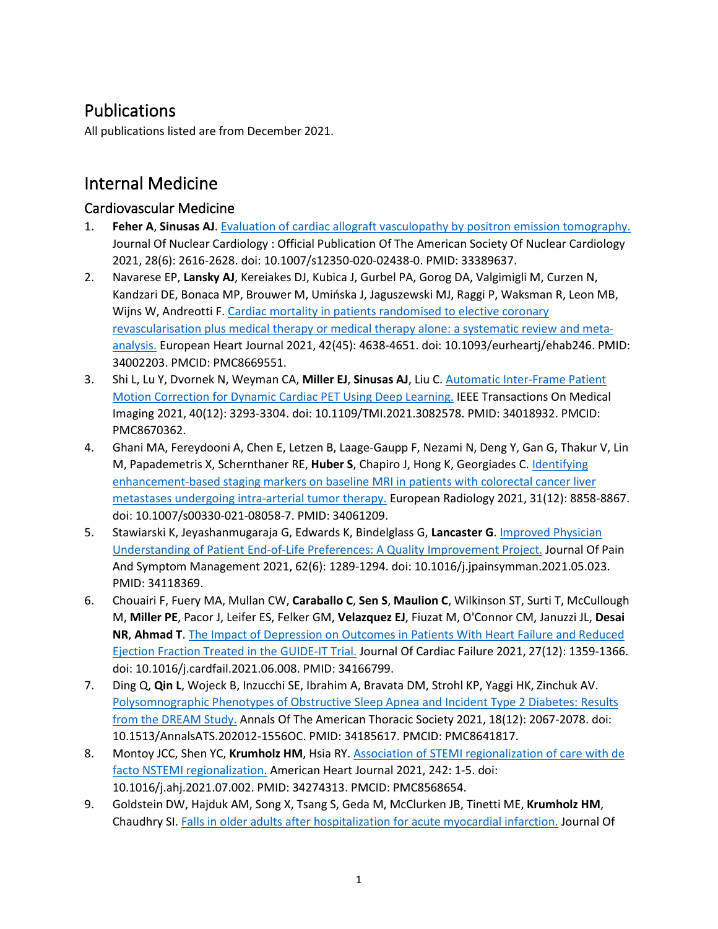## Publications

All publications listed are from December 2021.

# Internal Medicine

#### Cardiovascular Medicine

- 1. **Feher A**, **Sinusas AJ**. [Evaluation of cardiac allograft vasculopathy by positron emission tomography.](https://www.ncbi.nlm.nih.gov/pubmed/33389637) Journal Of Nuclear Cardiology : Official Publication Of The American Society Of Nuclear Cardiology 2021, 28(6): 2616-2628. doi: 10.1007/s12350-020-02438-0. PMID: 33389637.
- 2. Navarese EP, **Lansky AJ**, Kereiakes DJ, Kubica J, Gurbel PA, Gorog DA, Valgimigli M, Curzen N, Kandzari DE, Bonaca MP, Brouwer M, Umińska J, Jaguszewski MJ, Raggi P, Waksman R, Leon MB, Wijns W, Andreotti F. [Cardiac mortality in patients randomised to elective](https://www.ncbi.nlm.nih.gov/pubmed/34002203) coronary [revascularisation plus medical therapy or medical therapy alone: a systematic review and meta](https://www.ncbi.nlm.nih.gov/pubmed/34002203)[analysis.](https://www.ncbi.nlm.nih.gov/pubmed/34002203) European Heart Journal 2021, 42(45): 4638-4651. doi: 10.1093/eurheartj/ehab246. PMID: 34002203. PMCID: PMC8669551.
- 3. Shi L, Lu Y, Dvornek N, Weyman CA, **Miller EJ**, **Sinusas AJ**, Liu C. [Automatic Inter-](https://www.ncbi.nlm.nih.gov/pubmed/34018932)Frame Patient [Motion Correction for Dynamic Cardiac PET Using Deep Learning.](https://www.ncbi.nlm.nih.gov/pubmed/34018932) IEEE Transactions On Medical Imaging 2021, 40(12): 3293-3304. doi: 10.1109/TMI.2021.3082578. PMID: 34018932. PMCID: PMC8670362.
- 4. Ghani MA, Fereydooni A, Chen E, Letzen B, Laage-Gaupp F, Nezami N, Deng Y, Gan G, Thakur V, Lin M, Papademetris X, Schernthaner RE, **Huber S**, Chapiro J, Hong K, Georgiades C. [Identifying](https://www.ncbi.nlm.nih.gov/pubmed/34061209)  enhancement-[based staging markers on baseline MRI in patients with colorectal cancer liver](https://www.ncbi.nlm.nih.gov/pubmed/34061209)  [metastases undergoing intra-arterial tumor therapy.](https://www.ncbi.nlm.nih.gov/pubmed/34061209) European Radiology 2021, 31(12): 8858-8867. doi: 10.1007/s00330-021-08058-7. PMID: 34061209.
- 5. Stawiarski K, Jeyashanmugaraja G, Edwards K, Bindelglass G, **Lancaster G**. [Improved Physician](https://www.ncbi.nlm.nih.gov/pubmed/34118369)  Understanding of Patient End-of-[Life Preferences: A Quality Improvement Project.](https://www.ncbi.nlm.nih.gov/pubmed/34118369) Journal Of Pain And Symptom Management 2021, 62(6): 1289-1294. doi: 10.1016/j.jpainsymman.2021.05.023. PMID: 34118369.
- 6. Chouairi F, Fuery MA, Mullan CW, **Caraballo C**, **Sen S**, **Maulion C**, Wilkinson ST, Surti T, McCullough M, **Miller PE**, Pacor J, Leifer ES, Felker GM, **Velazquez EJ**, Fiuzat M, O'Connor CM, Januzzi JL, **Desai NR**, **Ahmad T**. [The Impact of Depression on Outcomes in Patients With Heart Failure and Reduced](https://www.ncbi.nlm.nih.gov/pubmed/34166799)  [Ejection Fraction Treated in](https://www.ncbi.nlm.nih.gov/pubmed/34166799) the GUIDE-IT Trial. Journal Of Cardiac Failure 2021, 27(12): 1359-1366. doi: 10.1016/j.cardfail.2021.06.008. PMID: 34166799.
- 7. Ding Q, **Qin L**, Wojeck B, Inzucchi SE, Ibrahim A, Bravata DM, Strohl KP, Yaggi HK, Zinchuk AV. [Polysomnographic Phenotypes of Obstructive Sleep Apnea and Incident Type 2 Diabetes: Results](https://www.ncbi.nlm.nih.gov/pubmed/34185617)  [from the DREAM Study.](https://www.ncbi.nlm.nih.gov/pubmed/34185617) Annals Of The American Thoracic Society 2021, 18(12): 2067-2078. doi: 10.1513/AnnalsATS.202012-1556OC. PMID: 34185617. PMCID: PMC8641817.
- 8. Montoy JCC, Shen YC, **Krumholz HM**, Hsia RY. [Association of STEMI regionalization of care with de](https://www.ncbi.nlm.nih.gov/pubmed/34274313)  [facto NSTEMI regionalization.](https://www.ncbi.nlm.nih.gov/pubmed/34274313) American Heart Journal 2021, 242: 1-5. doi: 10.1016/j.ahj.2021.07.002. PMID: 34274313. PMCID: PMC8568654.
- 9. Goldstein DW, Hajduk AM, Song X, Tsang S, Geda M, McClurken JB, Tinetti ME, **Krumholz HM**, Chaudhry SI. [Falls in older adults after hospitalization for acute myocardial infarction.](https://www.ncbi.nlm.nih.gov/pubmed/34383963) Journal Of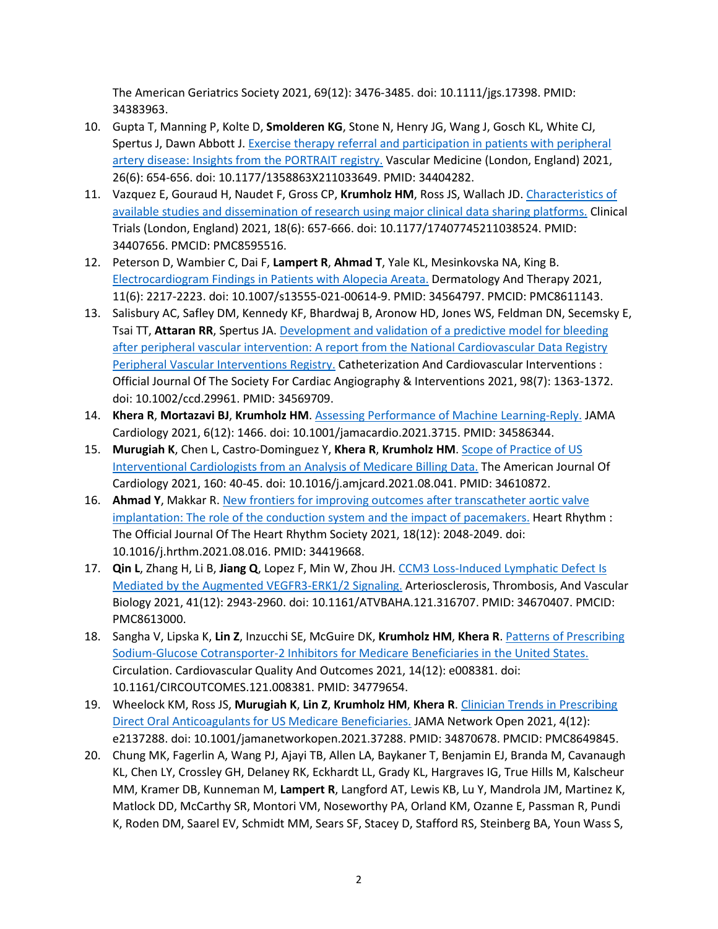The American Geriatrics Society 2021, 69(12): 3476-3485. doi: 10.1111/jgs.17398. PMID: 34383963.

- 10. Gupta T, Manning P, Kolte D, **Smolderen KG**, Stone N, Henry JG, Wang J, Gosch KL, White CJ, Spertus J, Dawn Abbott J[. Exercise therapy referral and participation in patients with peripheral](https://www.ncbi.nlm.nih.gov/pubmed/34404282)  artery disease: Ins[ights from the PORTRAIT registry.](https://www.ncbi.nlm.nih.gov/pubmed/34404282) Vascular Medicine (London, England) 2021, 26(6): 654-656. doi: 10.1177/1358863X211033649. PMID: 34404282.
- 11. Vazquez E, Gouraud H, Naudet F, Gross CP, **Krumholz HM**, Ross JS, Wallach JD. [Characteristics of](https://www.ncbi.nlm.nih.gov/pubmed/34407656)  [available studies and dissemination of research using major clinical data sharing platforms.](https://www.ncbi.nlm.nih.gov/pubmed/34407656) Clinical Trials (London, England) 2021, 18(6): 657-666. doi: 10.1177/17407745211038524. PMID: 34407656. PMCID: PMC8595516.
- 12. Peterson D, Wambier C, Dai F, **Lampert R**, **Ahmad T**, Yale KL, Mesinkovska NA, King B. [Electrocardiogram Findings in Patients with Alopecia Areata.](https://www.ncbi.nlm.nih.gov/pubmed/34564797) Dermatology And Therapy 2021, 11(6): 2217-2223. doi: 10.1007/s13555-021-00614-9. PMID: 34564797. PMCID: PMC8611143.
- 13. Salisbury AC, Safley DM, Kennedy KF, Bhardwaj B, Aronow HD, Jones WS, Feldman DN, Secemsky E, Tsai TT, **Attaran RR**, Spertus JA[. Development and validation of a predictive model for bleeding](https://www.ncbi.nlm.nih.gov/pubmed/34569709)  [after peripheral vascular intervention: A report from the National Cardiovascular Data Registry](https://www.ncbi.nlm.nih.gov/pubmed/34569709)  [Peripheral Vascular Interventions Registry.](https://www.ncbi.nlm.nih.gov/pubmed/34569709) Catheterization And Cardiovascular Interventions : Official Journal Of The Society For Cardiac Angiography & Interventions 2021, 98(7): 1363-1372. doi: 10.1002/ccd.29961. PMID: 34569709.
- 14. **Khera R**, **Mortazavi BJ**, **Krumholz HM**[. Assessing Performance of Mach](https://www.ncbi.nlm.nih.gov/pubmed/34586344)ine Learning-Reply. JAMA Cardiology 2021, 6(12): 1466. doi: 10.1001/jamacardio.2021.3715. PMID: 34586344.
- 15. **Murugiah K**, Chen L, Castro-Dominguez Y, **Khera R**, **Krumholz HM**. [Scope of Practice of US](https://www.ncbi.nlm.nih.gov/pubmed/34610872)  [Interventional Cardiologists from an Analysis of Medicare Billing Data.](https://www.ncbi.nlm.nih.gov/pubmed/34610872) The American Journal Of Cardiology 2021, 160: 40-45. doi: 10.1016/j.amjcard.2021.08.041. PMID: 34610872.
- 16. **Ahmad Y**, Makkar R. [New frontiers for improving outcomes after transcatheter aortic valve](https://www.ncbi.nlm.nih.gov/pubmed/34419668)  [implantation: The role of the conduction system and the impact of pacemakers.](https://www.ncbi.nlm.nih.gov/pubmed/34419668) Heart Rhythm : The Official Journal Of The Heart Rhythm Society 2021, 18(12): 2048-2049. doi: 10.1016/j.hrthm.2021.08.016. PMID: 34419668.
- 17. **Qin L**, Zhang H, Li B, **Jiang Q**, Lopez F, Min W, Zhou JH. CCM3 Loss-[Induced Lymphatic Defect Is](https://www.ncbi.nlm.nih.gov/pubmed/34670407)  [Mediated by the Augmented VEGFR3](https://www.ncbi.nlm.nih.gov/pubmed/34670407)-ERK1/2 Signaling. Arteriosclerosis, Thrombosis, And Vascular Biology 2021, 41(12): 2943-2960. doi: 10.1161/ATVBAHA.121.316707. PMID: 34670407. PMCID: PMC8613000.
- 18. Sangha V, Lipska K, **Lin Z**, Inzucchi SE, McGuire DK, **Krumholz HM**, **Khera R**[. Patterns of Prescribing](https://www.ncbi.nlm.nih.gov/pubmed/34779654)  [Sodium-Glucose Cotransporter-2 Inhibitors for Medicare Beneficiaries in the United States.](https://www.ncbi.nlm.nih.gov/pubmed/34779654) Circulation. Cardiovascular Quality And Outcomes 2021, 14(12): e008381. doi: 10.1161/CIRCOUTCOMES.121.008381. PMID: 34779654.
- 19. Wheelock KM, Ross JS, **Murugiah K**, **Lin Z**, **Krumholz HM**, **Khera R**. [Clinician Trends in Prescribing](https://www.ncbi.nlm.nih.gov/pubmed/34870678)  [Direct Oral Anticoagulants for US Medicare Beneficiaries.](https://www.ncbi.nlm.nih.gov/pubmed/34870678) JAMA Network Open 2021, 4(12): e2137288. doi: 10.1001/jamanetworkopen.2021.37288. PMID: 34870678. PMCID: PMC8649845.
- 20. Chung MK, Fagerlin A, Wang PJ, Ajayi TB, Allen LA, Baykaner T, Benjamin EJ, Branda M, Cavanaugh KL, Chen LY, Crossley GH, Delaney RK, Eckhardt LL, Grady KL, Hargraves IG, True Hills M, Kalscheur MM, Kramer DB, Kunneman M, **Lampert R**, Langford AT, Lewis KB, Lu Y, Mandrola JM, Martinez K, Matlock DD, McCarthy SR, Montori VM, Noseworthy PA, Orland KM, Ozanne E, Passman R, Pundi K, Roden DM, Saarel EV, Schmidt MM, Sears SF, Stacey D, Stafford RS, Steinberg BA, Youn Wass S,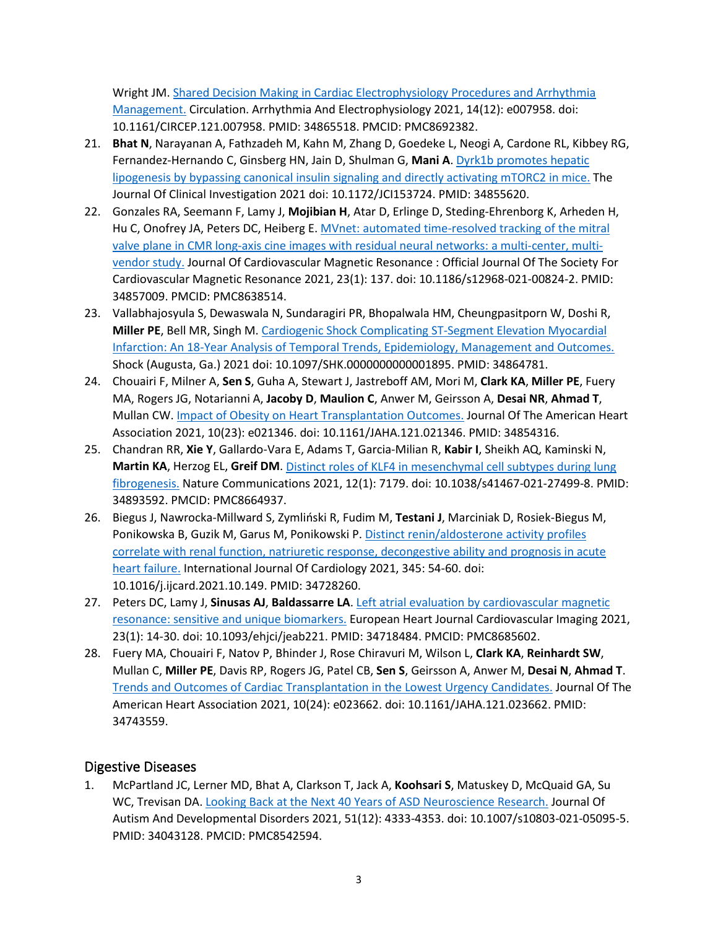Wright JM. [Shared Decision Making in Cardiac Electrophysiology Procedures and Arrhythmia](https://www.ncbi.nlm.nih.gov/pubmed/34865518)  [Management.](https://www.ncbi.nlm.nih.gov/pubmed/34865518) Circulation. Arrhythmia And Electrophysiology 2021, 14(12): e007958. doi: 10.1161/CIRCEP.121.007958. PMID: 34865518. PMCID: PMC8692382.

- 21. **Bhat N**, Narayanan A, Fathzadeh M, Kahn M, Zhang D, Goedeke L, Neogi A, Cardone RL, Kibbey RG, Fernandez-Hernando C, Ginsberg HN, Jain D, Shulman G, **Mani A**. [Dyrk1b promotes hepatic](https://www.ncbi.nlm.nih.gov/pubmed/34855620)  [lipogenesis by bypassing canonical insulin signaling and directly activating mTORC2 in mice.](https://www.ncbi.nlm.nih.gov/pubmed/34855620) The Journal Of Clinical Investigation 2021 doi: 10.1172/JCI153724. PMID: 34855620.
- 22. Gonzales RA, Seemann F, Lamy J, **Mojibian H**, Atar D, Erlinge D, Steding-Ehrenborg K, Arheden H, Hu C, Onofrey JA, Peters DC, Heiberg E[. MVnet: automated time-resolved tracking of the mitral](https://www.ncbi.nlm.nih.gov/pubmed/34857009)  valve plane in CMR long[-axis cine images with residual neural networks: a multi-center, multi](https://www.ncbi.nlm.nih.gov/pubmed/34857009)[vendor study.](https://www.ncbi.nlm.nih.gov/pubmed/34857009) Journal Of Cardiovascular Magnetic Resonance : Official Journal Of The Society For Cardiovascular Magnetic Resonance 2021, 23(1): 137. doi: 10.1186/s12968-021-00824-2. PMID: 34857009. PMCID: PMC8638514.
- 23. Vallabhajosyula S, Dewaswala N, Sundaragiri PR, Bhopalwala HM, Cheungpasitporn W, Doshi R, **Miller PE**, Bell MR, Singh M. [Cardiogenic Shock Complicating ST-Segment Elevation Myocardial](https://www.ncbi.nlm.nih.gov/pubmed/34864781)  Infarction: An 18-[Year Analysis of Temporal Trends, Epidemiology, Management and Outcomes.](https://www.ncbi.nlm.nih.gov/pubmed/34864781) Shock (Augusta, Ga.) 2021 doi: 10.1097/SHK.0000000000001895. PMID: 34864781.
- 24. Chouairi F, Milner A, **Sen S**, Guha A, Stewart J, Jastreboff AM, Mori M, **Clark KA**, **Miller PE**, Fuery MA, Rogers JG, Notarianni A, **Jacoby D**, **Maulion C**, Anwer M, Geirsson A, **Desai NR**, **Ahmad T**, Mullan CW. [Impact of Obesity on Heart Transplantation Outcomes.](https://www.ncbi.nlm.nih.gov/pubmed/34854316) Journal Of The American Heart Association 2021, 10(23): e021346. doi: 10.1161/JAHA.121.021346. PMID: 34854316.
- 25. Chandran RR, **Xie Y**, Gallardo-Vara E, Adams T, Garcia-Milian R, **Kabir I**, Sheikh AQ, Kaminski N, **Martin KA**, Herzog EL, **Greif DM**. [Distinct roles of KLF4 in mesenchymal cell subtypes during lung](https://www.ncbi.nlm.nih.gov/pubmed/34893592)  [fibrogenesis.](https://www.ncbi.nlm.nih.gov/pubmed/34893592) Nature Communications 2021, 12(1): 7179. doi: 10.1038/s41467-021-27499-8. PMID: 34893592. PMCID: PMC8664937.
- 26. Biegus J, Nawrocka-Millward S, Zymliński R, Fudim M, **Testani J**, Marciniak D, Rosiek-Biegus M, Ponikowska B, Guzik M, Garus M, Ponikowski P. [Distinct renin/aldosterone activity profiles](https://www.ncbi.nlm.nih.gov/pubmed/34728260)  [correlate with renal function, natriuretic response, decongestive ability and prognosis in acute](https://www.ncbi.nlm.nih.gov/pubmed/34728260)  [heart failure.](https://www.ncbi.nlm.nih.gov/pubmed/34728260) International Journal Of Cardiology 2021, 345: 54-60. doi: 10.1016/j.ijcard.2021.10.149. PMID: 34728260.
- 27. Peters DC, Lamy J, **Sinusas AJ**, **Baldassarre LA**. [Left atrial evaluation by cardiovascular magnetic](https://www.ncbi.nlm.nih.gov/pubmed/34718484)  [resonance: sensitive and unique biomarkers.](https://www.ncbi.nlm.nih.gov/pubmed/34718484) European Heart Journal Cardiovascular Imaging 2021, 23(1): 14-30. doi: 10.1093/ehjci/jeab221. PMID: 34718484. PMCID: PMC8685602.
- 28. Fuery MA, Chouairi F, Natov P, Bhinder J, Rose Chiravuri M, Wilson L, **Clark KA**, **Reinhardt SW**, Mullan C, **Miller PE**, Davis RP, Rogers JG, Patel CB, **Sen S**, Geirsson A, Anwer M, **Desai N**, **Ahmad T**. [Trends and Outcomes of Cardiac Transplantation in the Lowest Urgency Candidates.](https://www.ncbi.nlm.nih.gov/pubmed/34743559) Journal Of The American Heart Association 2021, 10(24): e023662. doi: 10.1161/JAHA.121.023662. PMID: 34743559.

## Digestive Diseases

1. McPartland JC, Lerner MD, Bhat A, Clarkson T, Jack A, **Koohsari S**, Matuskey D, McQuaid GA, Su WC, Trevisan DA. [Looking Back at the Next 40 Years of ASD Neuroscience Research.](https://www.ncbi.nlm.nih.gov/pubmed/34043128) Journal Of Autism And Developmental Disorders 2021, 51(12): 4333-4353. doi: 10.1007/s10803-021-05095-5. PMID: 34043128. PMCID: PMC8542594.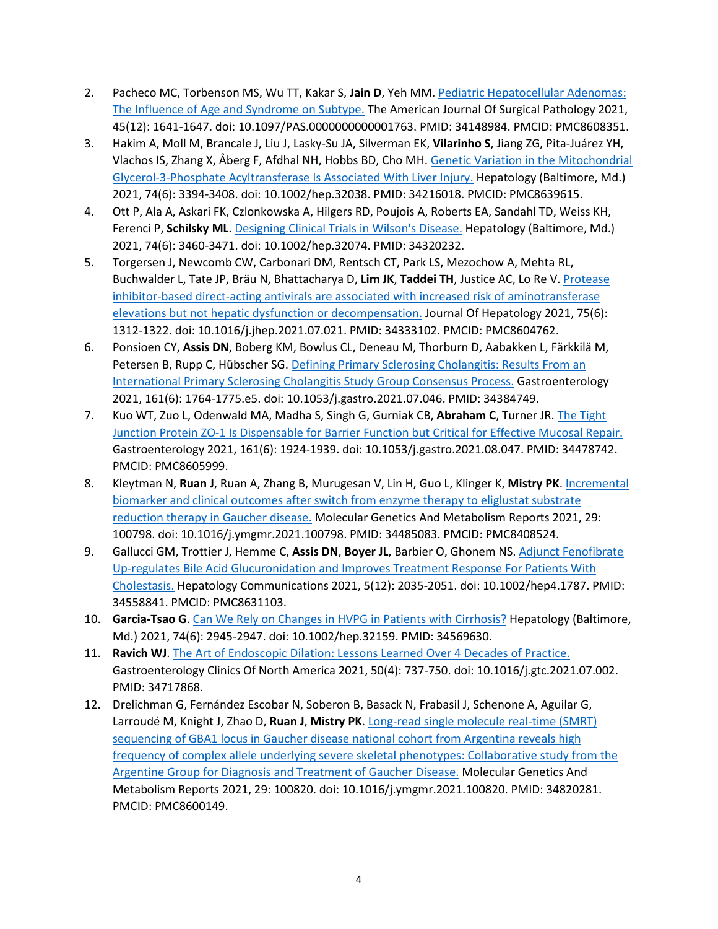- 2. Pacheco MC, Torbenson MS, Wu TT, Kakar S, **Jain D**, Yeh MM. [Pediatric Hepatocellular Adenomas:](https://www.ncbi.nlm.nih.gov/pubmed/34148984)  [The Influence of Age and Syndrome on Subtype.](https://www.ncbi.nlm.nih.gov/pubmed/34148984) The American Journal Of Surgical Pathology 2021, 45(12): 1641-1647. doi: 10.1097/PAS.0000000000001763. PMID: 34148984. PMCID: PMC8608351.
- 3. Hakim A, Moll M, Brancale J, Liu J, Lasky-Su JA, Silverman EK, **Vilarinho S**, Jiang ZG, Pita-Juárez YH, Vlachos IS, Zhang X, Åberg F, Afdhal NH, Hobbs BD, Cho MH. [Genetic Variation in the Mitochondrial](https://www.ncbi.nlm.nih.gov/pubmed/34216018)  Glycerol-3-[Phosphate Acyltransferase Is Associated With Liver Injury.](https://www.ncbi.nlm.nih.gov/pubmed/34216018) Hepatology (Baltimore, Md.) 2021, 74(6): 3394-3408. doi: 10.1002/hep.32038. PMID: 34216018. PMCID: PMC8639615.
- 4. Ott P, Ala A, Askari FK, Czlonkowska A, Hilgers RD, Poujois A, Roberts EA, Sandahl TD, Weiss KH, Ferenci P, **Schilsky ML**. [Designing Clinical Trials in Wilson's Disease.](https://www.ncbi.nlm.nih.gov/pubmed/34320232) Hepatology (Baltimore, Md.) 2021, 74(6): 3460-3471. doi: 10.1002/hep.32074. PMID: 34320232.
- 5. Torgersen J, Newcomb CW, Carbonari DM, Rentsch CT, Park LS, Mezochow A, Mehta RL, Buchwalder L, Tate JP, Bräu N, Bhattacharya D, **Lim JK**, **Taddei TH**, Justice AC, Lo Re V. [Protease](https://www.ncbi.nlm.nih.gov/pubmed/34333102)  [inhibitor-based direct-acting antivirals are associated with increased risk of aminotransferase](https://www.ncbi.nlm.nih.gov/pubmed/34333102)  [elevations but not hepatic dysfunction or decompensation.](https://www.ncbi.nlm.nih.gov/pubmed/34333102) Journal Of Hepatology 2021, 75(6): 1312-1322. doi: 10.1016/j.jhep.2021.07.021. PMID: 34333102. PMCID: PMC8604762.
- 6. Ponsioen CY, **Assis DN**, Boberg KM, Bowlus CL, Deneau M, Thorburn D, Aabakken L, Färkkilä M, Petersen B, Rupp C, Hübscher SG[. Defining Primary Sclerosing Cholangitis: Results From an](https://www.ncbi.nlm.nih.gov/pubmed/34384749)  [International Primary Sclerosing Cholangitis Study Group Consensus Process.](https://www.ncbi.nlm.nih.gov/pubmed/34384749) Gastroenterology 2021, 161(6): 1764-1775.e5. doi: 10.1053/j.gastro.2021.07.046. PMID: 34384749.
- 7. Kuo WT, Zuo L, Odenwald MA, Madha S, Singh G, Gurniak CB, **Abraham C**, Turner JR. [The Tight](https://www.ncbi.nlm.nih.gov/pubmed/34478742)  Junction Protein ZO-[1 Is Dispensable for Barrier Function but Critical for Effective Mucosal Repair.](https://www.ncbi.nlm.nih.gov/pubmed/34478742) Gastroenterology 2021, 161(6): 1924-1939. doi: 10.1053/j.gastro.2021.08.047. PMID: 34478742. PMCID: PMC8605999.
- 8. Kleytman N, **Ruan J**, Ruan A, Zhang B, Murugesan V, Lin H, Guo L, Klinger K, **Mistry PK**[. Incremental](https://www.ncbi.nlm.nih.gov/pubmed/34485083)  [biomarker and clinical outcomes after switch from enzyme therapy to eliglustat substrate](https://www.ncbi.nlm.nih.gov/pubmed/34485083)  [reduction therapy in Gaucher disease.](https://www.ncbi.nlm.nih.gov/pubmed/34485083) Molecular Genetics And Metabolism Reports 2021, 29: 100798. doi: 10.1016/j.ymgmr.2021.100798. PMID: 34485083. PMCID: PMC8408524.
- 9. Gallucci GM, Trottier J, Hemme C, **Assis DN**, **Boyer JL**, Barbier O, Ghonem NS. [Adjunct Fenofibrate](https://www.ncbi.nlm.nih.gov/pubmed/34558841)  Up-[regulates Bile Acid Glucuronidation and Improves Treatment Response For Patients With](https://www.ncbi.nlm.nih.gov/pubmed/34558841)  [Cholestasis.](https://www.ncbi.nlm.nih.gov/pubmed/34558841) Hepatology Communications 2021, 5(12): 2035-2051. doi: 10.1002/hep4.1787. PMID: 34558841. PMCID: PMC8631103.
- 10. **Garcia-Tsao G**. [Can We Rely on Changes in HVPG in Patients with Cirrhosis?](https://www.ncbi.nlm.nih.gov/pubmed/34569630) Hepatology (Baltimore, Md.) 2021, 74(6): 2945-2947. doi: 10.1002/hep.32159. PMID: 34569630.
- 11. **Ravich WJ**. [The Art of Endoscopic Dilation: Lessons Learned Over 4 Decades of Practice.](https://www.ncbi.nlm.nih.gov/pubmed/34717868) Gastroenterology Clinics Of North America 2021, 50(4): 737-750. doi: 10.1016/j.gtc.2021.07.002. PMID: 34717868.
- 12. Drelichman G, Fernández Escobar N, Soberon B, Basack N, Frabasil J, Schenone A, Aguilar G, Larroudé M, Knight J, Zhao D, **Ruan J**, **Mistry PK**. Long[-read single molecule real-](https://www.ncbi.nlm.nih.gov/pubmed/34820281)time (SMRT) [sequencing of GBA1 locus in Gaucher disease national cohort from Argentina reveals high](https://www.ncbi.nlm.nih.gov/pubmed/34820281)  [frequency of complex allele underlying severe skeletal phenotypes: Collaborative study from the](https://www.ncbi.nlm.nih.gov/pubmed/34820281)  [Argentine Group for Diagnosis and Treatment of Gaucher Disease.](https://www.ncbi.nlm.nih.gov/pubmed/34820281) Molecular Genetics And Metabolism Reports 2021, 29: 100820. doi: 10.1016/j.ymgmr.2021.100820. PMID: 34820281. PMCID: PMC8600149.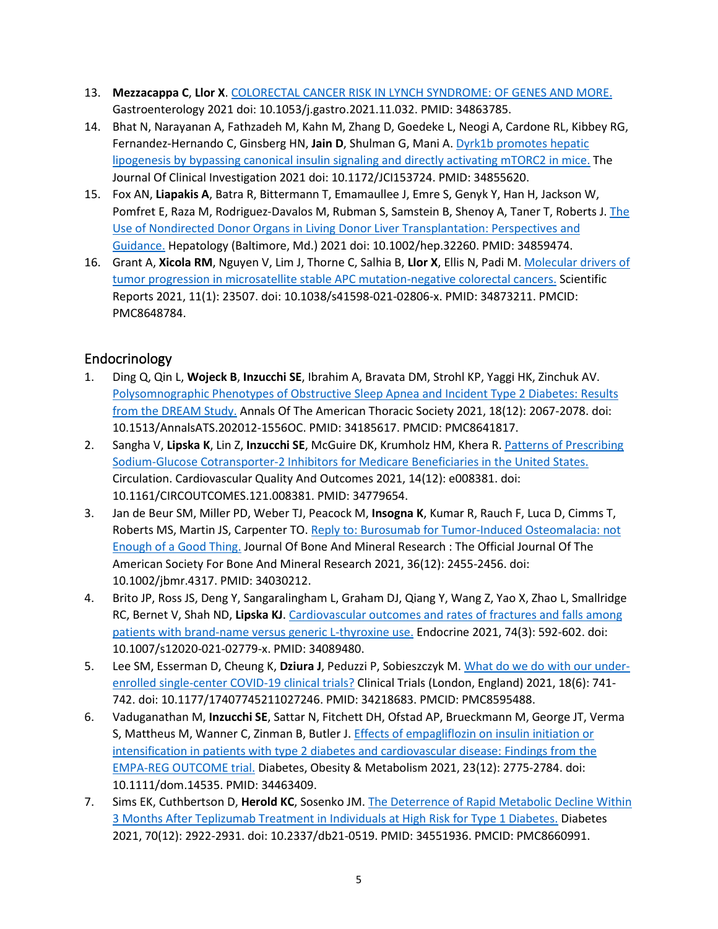- 13. **Mezzacappa C**, **Llor X**. [COLORECTAL CANCER RISK IN LYNCH SYNDROME: OF GENES AND MORE.](https://www.ncbi.nlm.nih.gov/pubmed/34863785) Gastroenterology 2021 doi: 10.1053/j.gastro.2021.11.032. PMID: 34863785.
- 14. Bhat N, Narayanan A, Fathzadeh M, Kahn M, Zhang D, Goedeke L, Neogi A, Cardone RL, Kibbey RG, Fernandez-Hernando C, Ginsberg HN, **Jain D**, Shulman G, Mani A. [Dyrk1b promotes hepatic](https://www.ncbi.nlm.nih.gov/pubmed/34855620)  [lipogenesis by bypassing canonical insulin signaling and directly activating mTORC2 in mice.](https://www.ncbi.nlm.nih.gov/pubmed/34855620) The Journal Of Clinical Investigation 2021 doi: 10.1172/JCI153724. PMID: 34855620.
- 15. Fox AN, **Liapakis A**, Batra R, Bittermann T, Emamaullee J, Emre S, Genyk Y, Han H, Jackson W, Pomfret E, Raza M, Rodriguez-Davalos M, Rubman S, Samstein B, Shenoy A, Taner T, Roberts J. The [Use of Nondirected Donor Organs in Living Donor Liver Transplantation: Perspectives and](https://www.ncbi.nlm.nih.gov/pubmed/34859474)  [Guidance.](https://www.ncbi.nlm.nih.gov/pubmed/34859474) Hepatology (Baltimore, Md.) 2021 doi: 10.1002/hep.32260. PMID: 34859474.
- 16. Grant A, **Xicola RM**, Nguyen V, Lim J, Thorne C, Salhia B, **Llor X**, Ellis N, Padi M. [Molecular drivers of](https://www.ncbi.nlm.nih.gov/pubmed/34873211)  [tumor progression in microsatellite stable APC mutation-negative colorectal cancers.](https://www.ncbi.nlm.nih.gov/pubmed/34873211) Scientific Reports 2021, 11(1): 23507. doi: 10.1038/s41598-021-02806-x. PMID: 34873211. PMCID: PMC8648784.

## Endocrinology

- 1. Ding Q, Qin L, **Wojeck B**, **Inzucchi SE**, Ibrahim A, Bravata DM, Strohl KP, Yaggi HK, Zinchuk AV. [Polysomnographic Phenotypes of Obstructive Sleep Apnea and Inciden](https://www.ncbi.nlm.nih.gov/pubmed/34185617)t Type 2 Diabetes: Results [from the DREAM Study.](https://www.ncbi.nlm.nih.gov/pubmed/34185617) Annals Of The American Thoracic Society 2021, 18(12): 2067-2078. doi: 10.1513/AnnalsATS.202012-1556OC. PMID: 34185617. PMCID: PMC8641817.
- 2. Sangha V, **Lipska K**, Lin Z, **Inzucchi SE**, McGuire DK, Krumholz HM, Khera R. [Patterns of Prescribing](https://www.ncbi.nlm.nih.gov/pubmed/34779654)  [Sodium-Glucose Cotransporter-2 Inhibitors for Medicare Beneficiaries in the United States.](https://www.ncbi.nlm.nih.gov/pubmed/34779654) Circulation. Cardiovascular Quality And Outcomes 2021, 14(12): e008381. doi: 10.1161/CIRCOUTCOMES.121.008381. PMID: 34779654.
- 3. Jan de Beur SM, Miller PD, Weber TJ, Peacock M, **Insogna K**, Kumar R, Rauch F, Luca D, Cimms T, Roberts MS, Martin JS, Carpenter TO. [Reply to: Burosumab for Tumor](https://www.ncbi.nlm.nih.gov/pubmed/34030212)-Induced Osteomalacia: not [Enough of a Good Thing.](https://www.ncbi.nlm.nih.gov/pubmed/34030212) Journal Of Bone And Mineral Research : The Official Journal Of The American Society For Bone And Mineral Research 2021, 36(12): 2455-2456. doi: 10.1002/jbmr.4317. PMID: 34030212.
- 4. Brito JP, Ross JS, Deng Y, Sangaralingham L, Graham DJ, Qiang Y, Wang Z, Yao X, Zhao L, Smallridge RC, Bernet V, Shah ND, **Lipska KJ**. [Cardiovascular outcomes and rates of fractures and falls among](https://www.ncbi.nlm.nih.gov/pubmed/34089480)  patients with brand-[name versus generic L](https://www.ncbi.nlm.nih.gov/pubmed/34089480)-thyroxine use. Endocrine 2021, 74(3): 592-602. doi: 10.1007/s12020-021-02779-x. PMID: 34089480.
- 5. Lee SM, Esserman D, Cheung K, **Dziura J**, Peduzzi P, Sobieszczyk M. [What do we do with our under](https://www.ncbi.nlm.nih.gov/pubmed/34218683)[enrolled single-center COVID-](https://www.ncbi.nlm.nih.gov/pubmed/34218683)19 clinical trials? Clinical Trials (London, England) 2021, 18(6): 741- 742. doi: 10.1177/17407745211027246. PMID: 34218683. PMCID: PMC8595488.
- 6. Vaduganathan M, **Inzucchi SE**, Sattar N, Fitchett DH, Ofstad AP, Brueckmann M, George JT, Verma S, Mattheus M, Wanner C, Zinman B, Butler J. [Effects of empagliflozin on insulin](https://www.ncbi.nlm.nih.gov/pubmed/34463409) initiation or [intensification in patients with type 2 diabetes and cardiovascular disease: Findings from the](https://www.ncbi.nlm.nih.gov/pubmed/34463409)  EMPA-[REG OUTCOME trial.](https://www.ncbi.nlm.nih.gov/pubmed/34463409) Diabetes, Obesity & Metabolism 2021, 23(12): 2775-2784. doi: 10.1111/dom.14535. PMID: 34463409.
- 7. Sims EK, Cuthbertson D, **Herold KC**, Sosenko JM. [The Deterrence of Rapid Metabolic Decline Within](https://www.ncbi.nlm.nih.gov/pubmed/34551936)  [3 Months After Teplizumab Treatment in Individuals at High Risk for Type 1 Diabetes.](https://www.ncbi.nlm.nih.gov/pubmed/34551936) Diabetes 2021, 70(12): 2922-2931. doi: 10.2337/db21-0519. PMID: 34551936. PMCID: PMC8660991.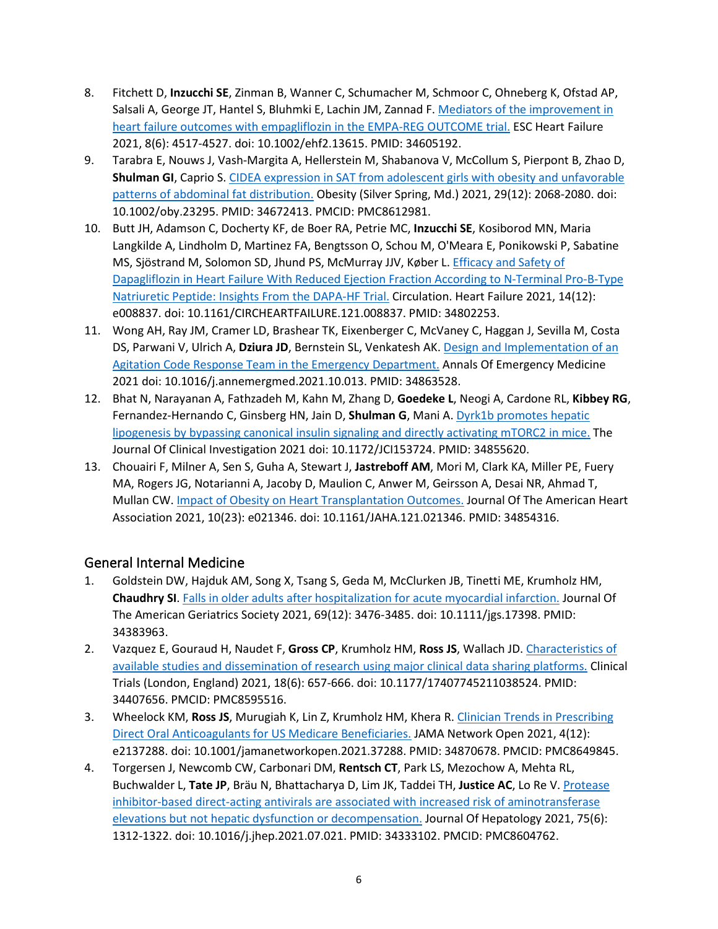- 8. Fitchett D, **Inzucchi SE**, Zinman B, Wanner C, Schumacher M, Schmoor C, Ohneberg K, Ofstad AP, Salsali A, George JT, Hantel S, Bluhmki E, Lachin JM, Zannad F. Mediators of the improvement in [heart failure outcomes with empagliflozin in the EMPA-](https://www.ncbi.nlm.nih.gov/pubmed/34605192)REG OUTCOME trial. ESC Heart Failure 2021, 8(6): 4517-4527. doi: 10.1002/ehf2.13615. PMID: 34605192.
- 9. Tarabra E, Nouws J, Vash-Margita A, Hellerstein M, Shabanova V, McCollum S, Pierpont B, Zhao D, **Shulman GI**, Caprio S[. CIDEA expression in SAT from adolescent girls with obesity and unfavorable](https://www.ncbi.nlm.nih.gov/pubmed/34672413)  [patterns of abdominal fat distribution.](https://www.ncbi.nlm.nih.gov/pubmed/34672413) Obesity (Silver Spring, Md.) 2021, 29(12): 2068-2080. doi: 10.1002/oby.23295. PMID: 34672413. PMCID: PMC8612981.
- 10. Butt JH, Adamson C, Docherty KF, de Boer RA, Petrie MC, **Inzucchi SE**, Kosiborod MN, Maria Langkilde A, Lindholm D, Martinez FA, Bengtsson O, Schou M, O'Meara E, Ponikowski P, Sabatine MS, Sjöstrand M, Solomon SD, Jhund PS, McMurray JJV, Køber L. [Efficacy and Safety of](https://www.ncbi.nlm.nih.gov/pubmed/34802253)  [Dapagliflozin in Heart Failure With Reduced Ejection Fraction According to N](https://www.ncbi.nlm.nih.gov/pubmed/34802253)-Terminal Pro-B-Type [Natriuretic Peptide: Insights From the DAPA](https://www.ncbi.nlm.nih.gov/pubmed/34802253)-HF Trial. Circulation. Heart Failure 2021, 14(12): e008837. doi: 10.1161/CIRCHEARTFAILURE.121.008837. PMID: 34802253.
- 11. Wong AH, Ray JM, Cramer LD, Brashear TK, Eixenberger C, McVaney C, Haggan J, Sevilla M, Costa DS, Parwani V, Ulrich A, **Dziura JD**, Bernstein SL, Venkatesh AK. [Design and Implementation of an](https://www.ncbi.nlm.nih.gov/pubmed/34863528)  [Agitation Code Response Team in the Emergency Department.](https://www.ncbi.nlm.nih.gov/pubmed/34863528) Annals Of Emergency Medicine 2021 doi: 10.1016/j.annemergmed.2021.10.013. PMID: 34863528.
- 12. Bhat N, Narayanan A, Fathzadeh M, Kahn M, Zhang D, **Goedeke L**, Neogi A, Cardone RL, **Kibbey RG**, Fernandez-Hernando C, Ginsberg HN, Jain D, **Shulman G**, Mani A. [Dyrk1b promotes hepatic](https://www.ncbi.nlm.nih.gov/pubmed/34855620)  [lipogenesis by bypassing canonical insulin signaling and directly activating mTORC2 in mice.](https://www.ncbi.nlm.nih.gov/pubmed/34855620) The Journal Of Clinical Investigation 2021 doi: 10.1172/JCI153724. PMID: 34855620.
- 13. Chouairi F, Milner A, Sen S, Guha A, Stewart J, **Jastreboff AM**, Mori M, Clark KA, Miller PE, Fuery MA, Rogers JG, Notarianni A, Jacoby D, Maulion C, Anwer M, Geirsson A, Desai NR, Ahmad T, Mullan CW. [Impact of Obesity on Heart Transplantation Outcomes.](https://www.ncbi.nlm.nih.gov/pubmed/34854316) Journal Of The American Heart Association 2021, 10(23): e021346. doi: 10.1161/JAHA.121.021346. PMID: 34854316.

## General Internal Medicine

- 1. Goldstein DW, Hajduk AM, Song X, Tsang S, Geda M, McClurken JB, Tinetti ME, Krumholz HM, **Chaudhry SI**. [Falls in older adults after hospitalization for acute myocardial infarction.](https://www.ncbi.nlm.nih.gov/pubmed/34383963) Journal Of The American Geriatrics Society 2021, 69(12): 3476-3485. doi: 10.1111/jgs.17398. PMID: 34383963.
- 2. Vazquez E, Gouraud H, Naudet F, **Gross CP**, Krumholz HM, **Ross JS**, Wallach JD. [Characteristics of](https://www.ncbi.nlm.nih.gov/pubmed/34407656)  availabl[e studies and dissemination of research using major clinical data sharing platforms.](https://www.ncbi.nlm.nih.gov/pubmed/34407656) Clinical Trials (London, England) 2021, 18(6): 657-666. doi: 10.1177/17407745211038524. PMID: 34407656. PMCID: PMC8595516.
- 3. Wheelock KM, **Ross JS**, Murugiah K, Lin Z, Krumholz HM, Khera R. [Clinician Trends in Prescribing](https://www.ncbi.nlm.nih.gov/pubmed/34870678)  [Direct Oral Anticoagulants for US Medicare Beneficiaries.](https://www.ncbi.nlm.nih.gov/pubmed/34870678) JAMA Network Open 2021, 4(12): e2137288. doi: 10.1001/jamanetworkopen.2021.37288. PMID: 34870678. PMCID: PMC8649845.
- 4. Torgersen J, Newcomb CW, Carbonari DM, **Rentsch CT**, Park LS, Mezochow A, Mehta RL, Buchwalder L, **Tate JP**, Bräu N, Bhattacharya D, Lim JK, Taddei TH, **Justice AC**, Lo Re V. [Protease](https://www.ncbi.nlm.nih.gov/pubmed/34333102)  [inhibitor-based direct-acting antivirals are associated with increased risk of aminotransferase](https://www.ncbi.nlm.nih.gov/pubmed/34333102)  [elevations but not hepatic dysfunction or decompensation.](https://www.ncbi.nlm.nih.gov/pubmed/34333102) Journal Of Hepatology 2021, 75(6): 1312-1322. doi: 10.1016/j.jhep.2021.07.021. PMID: 34333102. PMCID: PMC8604762.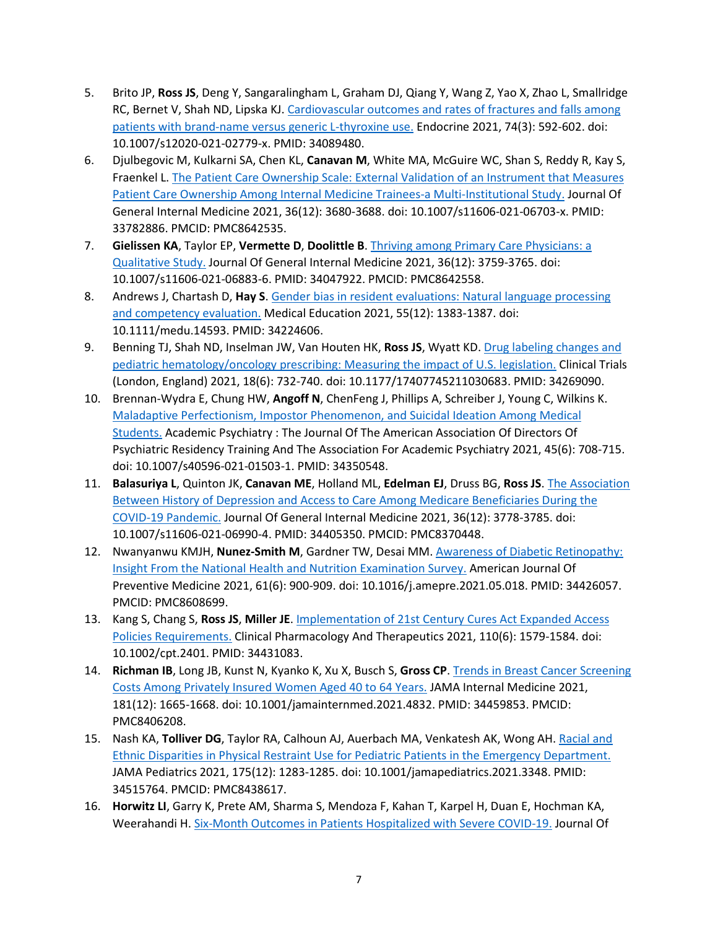- 5. Brito JP, **Ross JS**, Deng Y, Sangaralingham L, Graham DJ, Qiang Y, Wang Z, Yao X, Zhao L, Smallridge RC, Bernet V, Shah ND, Lipska KJ. [Cardiovascular outcomes and rates of fractures and falls among](https://www.ncbi.nlm.nih.gov/pubmed/34089480)  patients with brand-[name versus generic L](https://www.ncbi.nlm.nih.gov/pubmed/34089480)-thyroxine use. Endocrine 2021, 74(3): 592-602. doi: 10.1007/s12020-021-02779-x. PMID: 34089480.
- 6. Djulbegovic M, Kulkarni SA, Chen KL, **Canavan M**, White MA, McGuire WC, Shan S, Reddy R, Kay S, Fraenkel L. [The Patient Care Ownership Scale: External Validation of an Instrument that Measures](https://www.ncbi.nlm.nih.gov/pubmed/33782886)  [Patient Care Ownership Among Internal Medicine Trainees-a Multi-Institutional Study.](https://www.ncbi.nlm.nih.gov/pubmed/33782886) Journal Of General Internal Medicine 2021, 36(12): 3680-3688. doi: 10.1007/s11606-021-06703-x. PMID: 33782886. PMCID: PMC8642535.
- 7. **Gielissen KA**, Taylor EP, **Vermette D**, **Doolittle B**. [Thriving among Primary Care Physicians: a](https://www.ncbi.nlm.nih.gov/pubmed/34047922)  [Qualitative Study.](https://www.ncbi.nlm.nih.gov/pubmed/34047922) Journal Of General Internal Medicine 2021, 36(12): 3759-3765. doi: 10.1007/s11606-021-06883-6. PMID: 34047922. PMCID: PMC8642558.
- 8. Andrews J, Chartash D, **Hay S**[. Gender bias in resident evaluations: Natural language processing](https://www.ncbi.nlm.nih.gov/pubmed/34224606)  [and competency evaluation.](https://www.ncbi.nlm.nih.gov/pubmed/34224606) Medical Education 2021, 55(12): 1383-1387. doi: 10.1111/medu.14593. PMID: 34224606.
- 9. Benning TJ, Shah ND, Inselman JW, Van Houten HK, **Ross JS**, Wyatt KD. [Drug labeling changes and](https://www.ncbi.nlm.nih.gov/pubmed/34269090)  [pediatric hematology/oncology prescribing: Measuring the impact of U.S. legislation.](https://www.ncbi.nlm.nih.gov/pubmed/34269090) Clinical Trials (London, England) 2021, 18(6): 732-740. doi: 10.1177/17407745211030683. PMID: 34269090.
- 10. Brennan-Wydra E, Chung HW, **Angoff N**, ChenFeng J, Phillips A, Schreiber J, Young C, Wilkins K. [Maladaptive Perfectionism, Impostor Phenomenon, and Suicidal Ideation Among Medical](https://www.ncbi.nlm.nih.gov/pubmed/34350548)  [Students.](https://www.ncbi.nlm.nih.gov/pubmed/34350548) Academic Psychiatry : The Journal Of The American Association Of Directors Of Psychiatric Residency Training And The Association For Academic Psychiatry 2021, 45(6): 708-715. doi: 10.1007/s40596-021-01503-1. PMID: 34350548.
- 11. **Balasuriya L**, Quinton JK, **Canavan ME**, Holland ML, **Edelman EJ**, Druss BG, **Ross JS**. [The Association](https://www.ncbi.nlm.nih.gov/pubmed/34405350)  [Between History of Depression and Access to Care Among Medicare Beneficiaries During the](https://www.ncbi.nlm.nih.gov/pubmed/34405350)  [COVID-19 Pandemic.](https://www.ncbi.nlm.nih.gov/pubmed/34405350) Journal Of General Internal Medicine 2021, 36(12): 3778-3785. doi: 10.1007/s11606-021-06990-4. PMID: 34405350. PMCID: PMC8370448.
- 12. Nwanyanwu KMJH, **Nunez-Smith M**, Gardner TW, Desai MM. [Awareness of Diabetic Retinopathy](https://www.ncbi.nlm.nih.gov/pubmed/34426057): [Insight From the National Health and Nutrition Examination Survey.](https://www.ncbi.nlm.nih.gov/pubmed/34426057) American Journal Of Preventive Medicine 2021, 61(6): 900-909. doi: 10.1016/j.amepre.2021.05.018. PMID: 34426057. PMCID: PMC8608699.
- 13. Kang S, Chang S, **Ross JS**, **Miller JE**[. Implementation of 21st Century Cures Act Expanded Access](https://www.ncbi.nlm.nih.gov/pubmed/34431083)  [Policies Requirements.](https://www.ncbi.nlm.nih.gov/pubmed/34431083) Clinical Pharmacology And Therapeutics 2021, 110(6): 1579-1584. doi: 10.1002/cpt.2401. PMID: 34431083.
- 14. **Richman IB**, Long JB, Kunst N, Kyanko K, Xu X, Busch S, **Gross CP**[. Trends in Breast Cancer Screening](https://www.ncbi.nlm.nih.gov/pubmed/34459853)  [Costs Among Privately Insured Women Aged 40 to 64 Years.](https://www.ncbi.nlm.nih.gov/pubmed/34459853) JAMA Internal Medicine 2021, 181(12): 1665-1668. doi: 10.1001/jamainternmed.2021.4832. PMID: 34459853. PMCID: PMC8406208.
- 15. Nash KA, **Tolliver DG**, Taylor RA, Calhoun AJ, Auerbach MA, Venkatesh AK, Wong AH. [Racial and](https://www.ncbi.nlm.nih.gov/pubmed/34515764)  Ethnic Disparities in Physical Restraint Use [for Pediatric Patients in the Emergency Department.](https://www.ncbi.nlm.nih.gov/pubmed/34515764) JAMA Pediatrics 2021, 175(12): 1283-1285. doi: 10.1001/jamapediatrics.2021.3348. PMID: 34515764. PMCID: PMC8438617.
- 16. **Horwitz LI**, Garry K, Prete AM, Sharma S, Mendoza F, Kahan T, Karpel H, Duan E, Hochman KA, Weerahandi H. [Six-Month Outcomes in Patients Hospitalized with Severe COVID-19.](https://www.ncbi.nlm.nih.gov/pubmed/34355349) Journal Of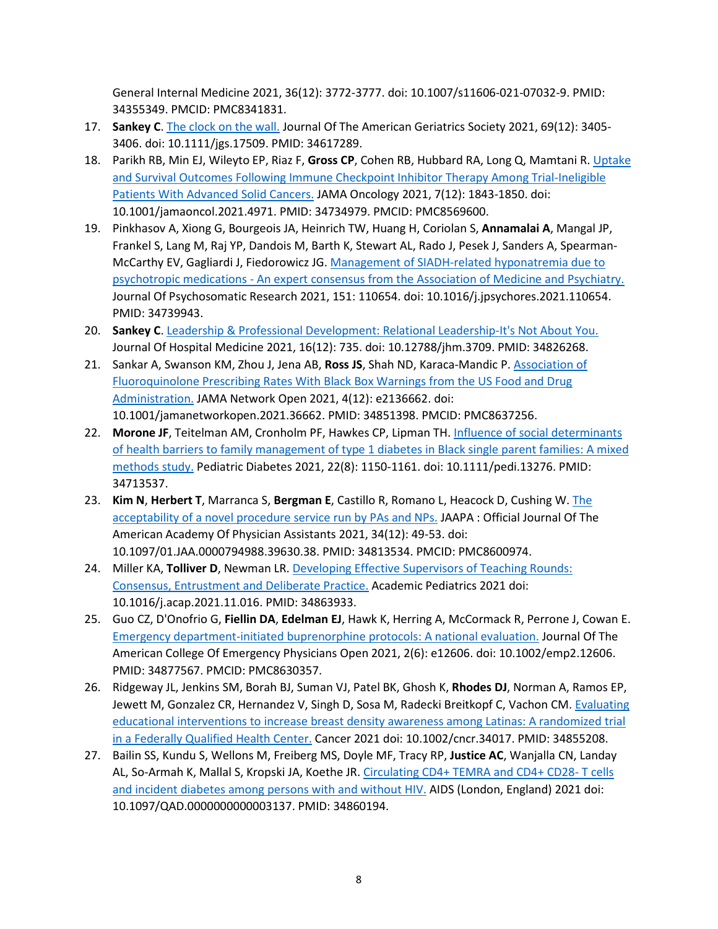General Internal Medicine 2021, 36(12): 3772-3777. doi: 10.1007/s11606-021-07032-9. PMID: 34355349. PMCID: PMC8341831.

- 17. **Sankey C**. [The clock on the wall.](https://www.ncbi.nlm.nih.gov/pubmed/34617289) Journal Of The American Geriatrics Society 2021, 69(12): 3405- 3406. doi: 10.1111/jgs.17509. PMID: 34617289.
- 18. Parikh RB, Min EJ, Wileyto EP, Riaz F, **Gross CP**, Cohen RB, Hubbard RA, Long Q, Mamtani R. [Uptake](https://www.ncbi.nlm.nih.gov/pubmed/34734979)  [and Survival Outcomes Following Immune Checkpoint Inhibitor Therapy Among Trial](https://www.ncbi.nlm.nih.gov/pubmed/34734979)-Ineligible [Patients With Advanced Solid Cancers.](https://www.ncbi.nlm.nih.gov/pubmed/34734979) JAMA Oncology 2021, 7(12): 1843-1850. doi: 10.1001/jamaoncol.2021.4971. PMID: 34734979. PMCID: PMC8569600.
- 19. Pinkhasov A, Xiong G, Bourgeois JA, Heinrich TW, Huang H, Coriolan S, **Annamalai A**, Mangal JP, Frankel S, Lang M, Raj YP, Dandois M, Barth K, Stewart AL, Rado J, Pesek J, Sanders A, Spearman-McCarthy EV, Gagliardi J, Fiedorowicz JG. [Management of SIADH-related hyponatremia due to](https://www.ncbi.nlm.nih.gov/pubmed/34739943)  psychotropic medications - [An expert consensus from the Association of Medicine and Psychiatry.](https://www.ncbi.nlm.nih.gov/pubmed/34739943) Journal Of Psychosomatic Research 2021, 151: 110654. doi: 10.1016/j.jpsychores.2021.110654. PMID: 34739943.
- 20. **Sankey C**. [Leadership & Professional Development: Relational Leadership](https://www.ncbi.nlm.nih.gov/pubmed/34826268)-It's Not About You. Journal Of Hospital Medicine 2021, 16(12): 735. doi: 10.12788/jhm.3709. PMID: 34826268.
- 21. Sankar A, Swanson KM, Zhou J, Jena AB, **Ross JS**, Shah ND, Karaca-Mandic P. [Association of](https://www.ncbi.nlm.nih.gov/pubmed/34851398)  [Fluoroquinolone Prescribing Rates With Black Box Warnings from the US Food and Drug](https://www.ncbi.nlm.nih.gov/pubmed/34851398)  [Administration.](https://www.ncbi.nlm.nih.gov/pubmed/34851398) JAMA Network Open 2021, 4(12): e2136662. doi: 10.1001/jamanetworkopen.2021.36662. PMID: 34851398. PMCID: PMC8637256.
- 22. **Morone JF**, Teitelman AM, Cronholm PF, Hawkes CP, Lipman TH. [Influence of social determinants](https://www.ncbi.nlm.nih.gov/pubmed/34713537)  [of health barriers to family management of type 1 diabetes in Black single parent families: A mixed](https://www.ncbi.nlm.nih.gov/pubmed/34713537)  [methods study.](https://www.ncbi.nlm.nih.gov/pubmed/34713537) Pediatric Diabetes 2021, 22(8): 1150-1161. doi: 10.1111/pedi.13276. PMID: 34713537.
- 23. **Kim N**, **Herbert T**, Marranca S, **Bergman E**, Castillo R, Romano L, Heacock D, Cushing W. [The](https://www.ncbi.nlm.nih.gov/pubmed/34813534)  [acceptability of a novel procedure service run by PAs and NPs.](https://www.ncbi.nlm.nih.gov/pubmed/34813534) JAAPA : Official Journal Of The American Academy Of Physician Assistants 2021, 34(12): 49-53. doi: 10.1097/01.JAA.0000794988.39630.38. PMID: 34813534. PMCID: PMC8600974.
- 24. Miller KA, **Tolliver D**, Newman LR[. Developing Effective Supervisors of Teaching Rounds:](https://www.ncbi.nlm.nih.gov/pubmed/34863933)  [Consensus, Entrustment and Deliberate Practice.](https://www.ncbi.nlm.nih.gov/pubmed/34863933) Academic Pediatrics 2021 doi: 10.1016/j.acap.2021.11.016. PMID: 34863933.
- 25. Guo CZ, D'Onofrio G, **Fiellin DA**, **Edelman EJ**, Hawk K, Herring A, McCormack R, Perrone J, Cowan E. [Emergency department-initiated buprenorphine protocols: A national evaluation.](https://www.ncbi.nlm.nih.gov/pubmed/34877567) Journal Of The American College Of Emergency Physicians Open 2021, 2(6): e12606. doi: 10.1002/emp2.12606. PMID: 34877567. PMCID: PMC8630357.
- 26. Ridgeway JL, Jenkins SM, Borah BJ, Suman VJ, Patel BK, Ghosh K, **Rhodes DJ**, Norman A, Ramos EP, Jewett M, Gonzalez CR, Hernandez V, Singh D, Sosa M, Radecki Breitkopf C, Vachon CM. Evaluating [educational interventions to increase breast density awareness among Latinas: A randomized trial](https://www.ncbi.nlm.nih.gov/pubmed/34855208)  [in a Federally Qualified Health Center.](https://www.ncbi.nlm.nih.gov/pubmed/34855208) Cancer 2021 doi: 10.1002/cncr.34017. PMID: 34855208.
- 27. Bailin SS, Kundu S, Wellons M, Freiberg MS, Doyle MF, Tracy RP, **Justice AC**, Wanjalla CN, Landay AL, So-Armah K, Mallal S, Kropski JA, Koethe JR. [Circulating CD4+ TEMRA and CD4+ CD28](https://www.ncbi.nlm.nih.gov/pubmed/34860194)- T cells [and incident diabetes among persons with and without HIV.](https://www.ncbi.nlm.nih.gov/pubmed/34860194) AIDS (London, England) 2021 doi: 10.1097/QAD.0000000000003137. PMID: 34860194.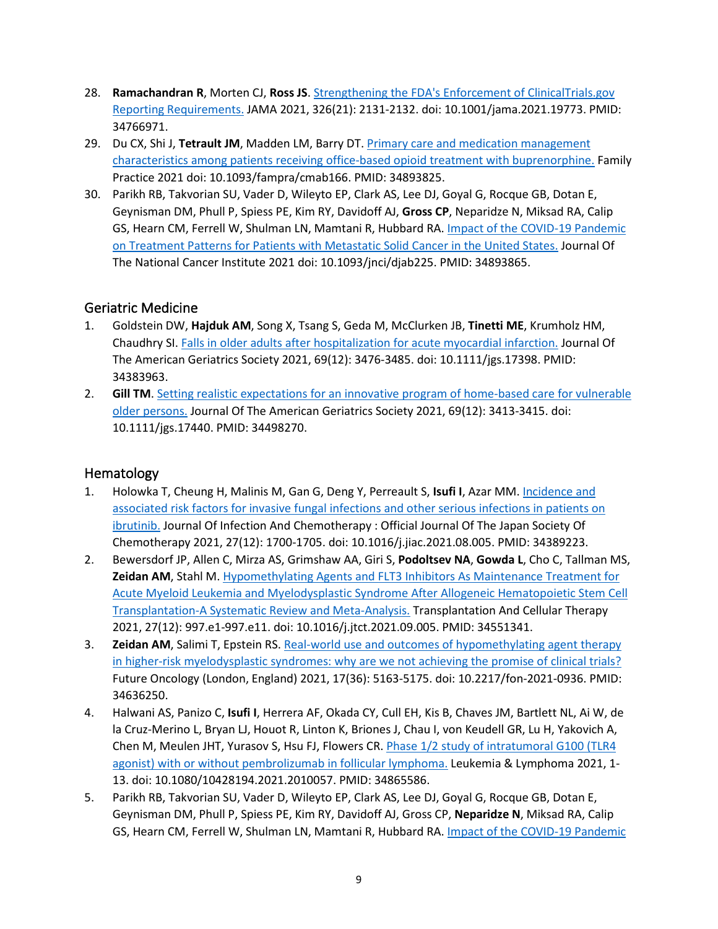- 28. **Ramachandran R**, Morten CJ, **Ross JS**. Strengthening th[e FDA's Enforcement of ClinicalTrials.gov](https://www.ncbi.nlm.nih.gov/pubmed/34766971)  [Reporting Requirements.](https://www.ncbi.nlm.nih.gov/pubmed/34766971) JAMA 2021, 326(21): 2131-2132. doi: 10.1001/jama.2021.19773. PMID: 34766971.
- 29. Du CX, Shi J, **Tetrault JM**, Madden LM, Barry DT. [Primary care and medication management](https://www.ncbi.nlm.nih.gov/pubmed/34893825)  [characteristics among patients receiving office-based opioid treatment with buprenorphine.](https://www.ncbi.nlm.nih.gov/pubmed/34893825) Family Practice 2021 doi: 10.1093/fampra/cmab166. PMID: 34893825.
- 30. Parikh RB, Takvorian SU, Vader D, Wileyto EP, Clark AS, Lee DJ, Goyal G, Rocque GB, Dotan E, Geynisman DM, Phull P, Spiess PE, Kim RY, Davidoff AJ, **Gross CP**, Neparidze N, Miksad RA, Calip GS, Hearn CM, Ferrell W, Shulman LN, Mamtani R, Hubbard RA. [Impact of the COVID-19 Pandemic](https://www.ncbi.nlm.nih.gov/pubmed/34893865)  [on Treatment Patterns for Patients with Metastatic Solid Cancer in the United States.](https://www.ncbi.nlm.nih.gov/pubmed/34893865) Journal Of The National Cancer Institute 2021 doi: 10.1093/jnci/djab225. PMID: 34893865.

#### Geriatric Medicine

- 1. Goldstein DW, **Hajduk AM**, Song X, Tsang S, Geda M, McClurken JB, **Tinetti ME**, Krumholz HM, Chaudhry SI. [Falls in older adults after hospitalization for acute myocardial infarction.](https://www.ncbi.nlm.nih.gov/pubmed/34383963) Journal Of The American Geriatrics Society 2021, 69(12): 3476-3485. doi: 10.1111/jgs.17398. PMID: 34383963.
- 2. **Gill TM**. [Setting realistic expectations for an innovative program of home-based care for vulnerable](https://www.ncbi.nlm.nih.gov/pubmed/34498270)  [older persons.](https://www.ncbi.nlm.nih.gov/pubmed/34498270) Journal Of The American Geriatrics Society 2021, 69(12): 3413-3415. doi: 10.1111/jgs.17440. PMID: 34498270.

#### Hematology

- 1. Holowka T, Cheung H, Malinis M, Gan G, Deng Y, Perreault S, **Isufi I**, Azar MM. [Incidence and](https://www.ncbi.nlm.nih.gov/pubmed/34389223)  [associated risk factors for invasive fungal infections and other serious infections in patients on](https://www.ncbi.nlm.nih.gov/pubmed/34389223)  [ibrutinib.](https://www.ncbi.nlm.nih.gov/pubmed/34389223) Journal Of Infection And Chemotherapy : Official Journal Of The Japan Society Of Chemotherapy 2021, 27(12): 1700-1705. doi: 10.1016/j.jiac.2021.08.005. PMID: 34389223.
- 2. Bewersdorf JP, Allen C, Mirza AS, Grimshaw AA, Giri S, **Podoltsev NA**, **Gowda L**, Cho C, Tallman MS, **Zeidan AM**, Stahl M. Hypomethy[lating Agents and FLT3 Inhibitors As Maintenance Treatment for](https://www.ncbi.nlm.nih.gov/pubmed/34551341)  [Acute Myeloid Leukemia and Myelodysplastic Syndrome After Allogeneic Hematopoietic Stem Cell](https://www.ncbi.nlm.nih.gov/pubmed/34551341)  Transplantation-[A Systematic Review and Meta](https://www.ncbi.nlm.nih.gov/pubmed/34551341)-Analysis. Transplantation And Cellular Therapy 2021, 27(12): 997.e1-997.e11. doi: 10.1016/j.jtct.2021.09.005. PMID: 34551341.
- 3. **Zeidan AM**, Salimi T, Epstein RS. Real[-world use and outcomes of hypomethylating agent therapy](https://www.ncbi.nlm.nih.gov/pubmed/34636250)  in higher-risk myelodysplastic [syndromes: why are we not achieving the promise of clinical trials?](https://www.ncbi.nlm.nih.gov/pubmed/34636250) Future Oncology (London, England) 2021, 17(36): 5163-5175. doi: 10.2217/fon-2021-0936. PMID: 34636250.
- 4. Halwani AS, Panizo C, **Isufi I**, Herrera AF, Okada CY, Cull EH, Kis B, Chaves JM, Bartlett NL, Ai W, de la Cruz-Merino L, Bryan LJ, Houot R, Linton K, Briones J, Chau I, von Keudell GR, Lu H, Yakovich A, Chen M, Meulen JHT, Yurasov S, Hsu FJ, Flowers CR. *[Phase 1/2 study of intratu](https://www.ncbi.nlm.nih.gov/pubmed/34865586)moral G100 (TLR4* [agonist\) with or without pembrolizumab in follicular lymphoma.](https://www.ncbi.nlm.nih.gov/pubmed/34865586) Leukemia & Lymphoma 2021, 1- 13. doi: 10.1080/10428194.2021.2010057. PMID: 34865586.
- 5. Parikh RB, Takvorian SU, Vader D, Wileyto EP, Clark AS, Lee DJ, Goyal G, Rocque GB, Dotan E, Geynisman DM, Phull P, Spiess PE, Kim RY, Davidoff AJ, Gross CP, **Neparidze N**, Miksad RA, Calip GS, Hearn CM, Ferrell W, Shulman LN, Mamtani R, Hubbard RA. [Impact of the COVID-19 Pandemic](https://www.ncbi.nlm.nih.gov/pubmed/34893865)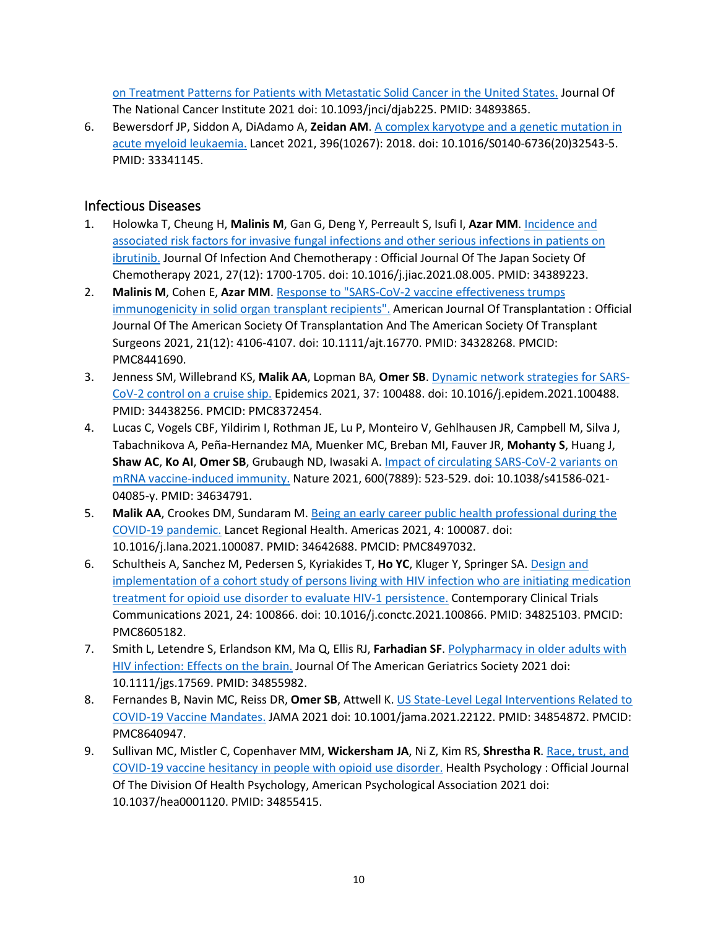[on Treatment Patterns for Patients with Metastatic Solid Cancer in the United States.](https://www.ncbi.nlm.nih.gov/pubmed/34893865) Journal Of The National Cancer Institute 2021 doi: 10.1093/jnci/djab225. PMID: 34893865.

6. Bewersdorf JP, Siddon A, DiAdamo A, **Zeidan AM**[. A complex karyotype and a genetic mutation in](https://www.ncbi.nlm.nih.gov/pubmed/33341145)  [acute myeloid leukaemia.](https://www.ncbi.nlm.nih.gov/pubmed/33341145) Lancet 2021, 396(10267): 2018. doi: 10.1016/S0140-6736(20)32543-5. PMID: 33341145.

#### Infectious Diseases

- 1. Holowka T, Cheung H, **Malinis M**, Gan G, Deng Y, Perreault S, Isufi I, **Azar MM**. [Incidence and](https://www.ncbi.nlm.nih.gov/pubmed/34389223)  [associated risk factors for invasive fungal infections and other serious infections in patients on](https://www.ncbi.nlm.nih.gov/pubmed/34389223)  [ibrutinib.](https://www.ncbi.nlm.nih.gov/pubmed/34389223) Journal Of Infection And Chemotherapy : Official Journal Of The Japan Society Of Chemotherapy 2021, 27(12): 1700-1705. doi: 10.1016/j.jiac.2021.08.005. PMID: 34389223.
- 2. **Malinis M**, Cohen E, **Azar MM**. Response to "SARS[-CoV-2 vaccine effectiveness trumps](https://www.ncbi.nlm.nih.gov/pubmed/34328268)  [immunogenicity in solid organ transplant recipients".](https://www.ncbi.nlm.nih.gov/pubmed/34328268) American Journal Of Transplantation : Official Journal Of The American Society Of Transplantation And The American Society Of Transplant Surgeons 2021, 21(12): 4106-4107. doi: 10.1111/ajt.16770. PMID: 34328268. PMCID: PMC8441690.
- 3. Jenness SM, Willebrand KS, **Malik AA**, Lopman BA, **Omer SB**. [Dynamic network strategies for SARS](https://www.ncbi.nlm.nih.gov/pubmed/34438256)-[CoV-2 control on a cruise ship.](https://www.ncbi.nlm.nih.gov/pubmed/34438256) Epidemics 2021, 37: 100488. doi: 10.1016/j.epidem.2021.100488. PMID: 34438256. PMCID: PMC8372454.
- 4. Lucas C, Vogels CBF, Yildirim I, Rothman JE, Lu P, Monteiro V, Gehlhausen JR, Campbell M, Silva J, Tabachnikova A, Peña-Hernandez MA, Muenker MC, Breban MI, Fauver JR, **Mohanty S**, Huang J, **Shaw AC**, **Ko AI**, **Omer SB**, Grubaugh ND, Iwasaki A. [Impact of circulating SARS](https://www.ncbi.nlm.nih.gov/pubmed/34634791)-CoV-2 variants on mRNA vaccine[-induced immunity.](https://www.ncbi.nlm.nih.gov/pubmed/34634791) Nature 2021, 600(7889): 523-529. doi: 10.1038/s41586-021- 04085-y. PMID: 34634791.
- 5. **Malik AA**, Crookes DM, Sundaram M[. Being an early career public health professional during the](https://www.ncbi.nlm.nih.gov/pubmed/34642688)  [COVID-19 pandemic.](https://www.ncbi.nlm.nih.gov/pubmed/34642688) Lancet Regional Health. Americas 2021, 4: 100087. doi: 10.1016/j.lana.2021.100087. PMID: 34642688. PMCID: PMC8497032.
- 6. Schultheis A, Sanchez M, Pedersen S, Kyriakides T, **Ho YC**, Kluger Y, Springer SA. [Design and](https://www.ncbi.nlm.nih.gov/pubmed/34825103)  [implementation of a cohort study of persons living with HIV infection who are initiating medication](https://www.ncbi.nlm.nih.gov/pubmed/34825103)  [treatment for opioid use disorder to evaluate HIV-1 persistence.](https://www.ncbi.nlm.nih.gov/pubmed/34825103) Contemporary Clinical Trials Communications 2021, 24: 100866. doi: 10.1016/j.conctc.2021.100866. PMID: 34825103. PMCID: PMC8605182.
- 7. Smith L, Letendre S, Erlandson KM, Ma Q, Ellis RJ, **Farhadian SF**. [Polypharmacy in older adults with](https://www.ncbi.nlm.nih.gov/pubmed/34855982)  [HIV infection: Effects on the brain.](https://www.ncbi.nlm.nih.gov/pubmed/34855982) Journal Of The American Geriatrics Society 2021 doi: 10.1111/jgs.17569. PMID: 34855982.
- 8. Fernandes B, Navin MC, Reiss DR, **Omer SB**, Attwell K. US State-[Level Legal Interventions Related to](https://www.ncbi.nlm.nih.gov/pubmed/34854872)  [COVID-19 Vaccine Mandates.](https://www.ncbi.nlm.nih.gov/pubmed/34854872) JAMA 2021 doi: 10.1001/jama.2021.22122. PMID: 34854872. PMCID: PMC8640947.
- 9. Sullivan MC, Mistler C, Copenhaver MM, **Wickersham JA**, Ni Z, Kim RS, **Shrestha R**. [Race, trust, and](https://www.ncbi.nlm.nih.gov/pubmed/34855415)  [COVID-19 vaccine hesitancy in people with opioid use disorder.](https://www.ncbi.nlm.nih.gov/pubmed/34855415) Health Psychology : Official Journal Of The Division Of Health Psychology, American Psychological Association 2021 doi: 10.1037/hea0001120. PMID: 34855415.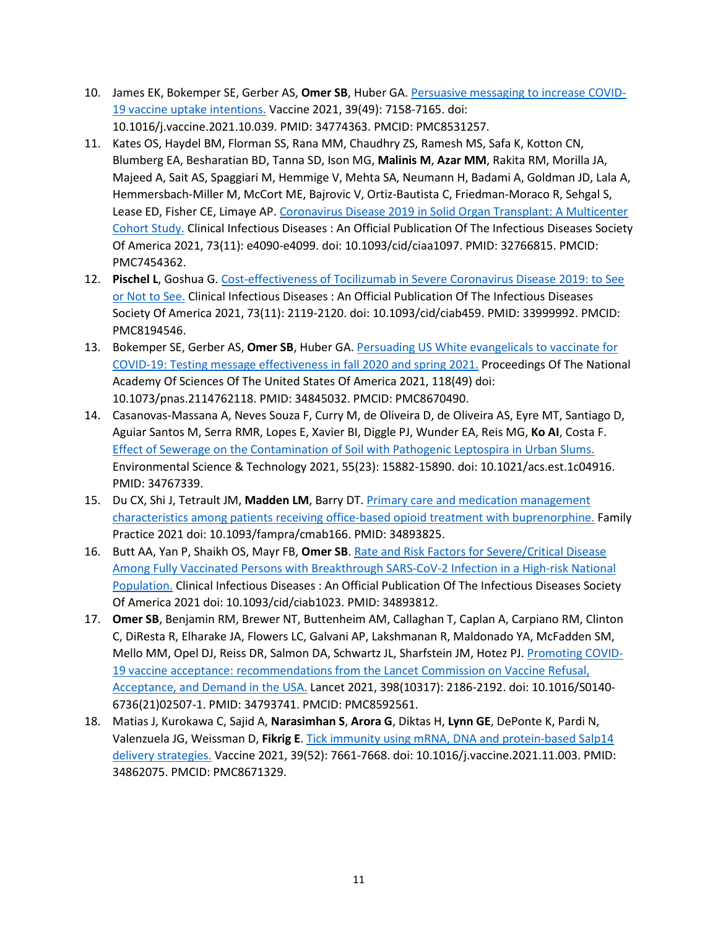- 10. James EK, Bokemper SE, Gerber AS, **Omer SB**, Huber GA[. Persuasive messaging to increase COVID-](https://www.ncbi.nlm.nih.gov/pubmed/34774363)[19 vaccine uptake intentions.](https://www.ncbi.nlm.nih.gov/pubmed/34774363) Vaccine 2021, 39(49): 7158-7165. doi: 10.1016/j.vaccine.2021.10.039. PMID: 34774363. PMCID: PMC8531257.
- 11. Kates OS, Haydel BM, Florman SS, Rana MM, Chaudhry ZS, Ramesh MS, Safa K, Kotton CN, Blumberg EA, Besharatian BD, Tanna SD, Ison MG, **Malinis M**, **Azar MM**, Rakita RM, Morilla JA, Majeed A, Sait AS, Spaggiari M, Hemmige V, Mehta SA, Neumann H, Badami A, Goldman JD, Lala A, Hemmersbach-Miller M, McCort ME, Bajrovic V, Ortiz-Bautista C, Friedman-Moraco R, Sehgal S, Lease ED, Fisher CE, Limaye AP. [Coronavirus Disease 2019 in Solid Organ Transplant: A Multicenter](https://www.ncbi.nlm.nih.gov/pubmed/32766815)  [Cohort Study.](https://www.ncbi.nlm.nih.gov/pubmed/32766815) Clinical Infectious Diseases : An Official Publication Of The Infectious Diseases Society Of America 2021, 73(11): e4090-e4099. doi: 10.1093/cid/ciaa1097. PMID: 32766815. PMCID: PMC7454362.
- 12. **Pischel L**, Goshua G[. Cost-effectiveness of Tocilizumab in Severe Coronavirus Disease 2019: to See](https://www.ncbi.nlm.nih.gov/pubmed/33999992)  [or Not to See.](https://www.ncbi.nlm.nih.gov/pubmed/33999992) Clinical Infectious Diseases : An Official Publication Of The Infectious Diseases Society Of America 2021, 73(11): 2119-2120. doi: 10.1093/cid/ciab459. PMID: 33999992. PMCID: PMC8194546.
- 13. Bokemper SE, Gerber AS, **Omer SB**, Huber GA. [Persuading US White evangelicals to vaccinate for](https://www.ncbi.nlm.nih.gov/pubmed/34845032)  [COVID-19: Testing message effectiveness in fall 2020 and spring 2021.](https://www.ncbi.nlm.nih.gov/pubmed/34845032) Proceedings Of The National Academy Of Sciences Of The United States Of America 2021, 118(49) doi: 10.1073/pnas.2114762118. PMID: 34845032. PMCID: PMC8670490.
- 14. Casanovas-Massana A, Neves Souza F, Curry M, de Oliveira D, de Oliveira AS, Eyre MT, Santiago D, Aguiar Santos M, Serra RMR, Lopes E, Xavier BI, Diggle PJ, Wunder EA, Reis MG, **Ko AI**, Costa F. [Effect of Sewerage on the Contamination of Soil with Pathogenic Leptospira in Urban Slums.](https://www.ncbi.nlm.nih.gov/pubmed/34767339) Environmental Science & Technology 2021, 55(23): 15882-15890. doi: 10.1021/acs.est.1c04916. PMID: 34767339.
- 15. Du CX, Shi J, Tetrault JM, **Madden LM**, Barry DT[. Primary care and medication management](https://www.ncbi.nlm.nih.gov/pubmed/34893825)  [characteristics among patients receiving office-based opioid treatment with buprenorphine.](https://www.ncbi.nlm.nih.gov/pubmed/34893825) Family Practice 2021 doi: 10.1093/fampra/cmab166. PMID: 34893825.
- 16. Butt AA, Yan P, Shaikh OS, Mayr FB, **Omer SB**. [Rate and Risk Factors for Severe/Critical Disease](https://www.ncbi.nlm.nih.gov/pubmed/34893812)  [Among Fully Vaccinated Persons with Breakthrough SARS](https://www.ncbi.nlm.nih.gov/pubmed/34893812)-CoV-2 Infection in a High-risk National [Population.](https://www.ncbi.nlm.nih.gov/pubmed/34893812) Clinical Infectious Diseases : An Official Publication Of The Infectious Diseases Society Of America 2021 doi: 10.1093/cid/ciab1023. PMID: 34893812.
- 17. **Omer SB**, Benjamin RM, Brewer NT, Buttenheim AM, Callaghan T, Caplan A, Carpiano RM, Clinton C, DiResta R, Elharake JA, Flowers LC, Galvani AP, Lakshmanan R, Maldonado YA, McFadden SM, Mello MM, Opel DJ, Reiss DR, Salmon DA, Schwartz JL, Sharfstein JM, Hotez PJ. [Promoting COVID-](https://www.ncbi.nlm.nih.gov/pubmed/34793741)[19 vaccine acceptance: recommendations from the Lancet Commission on Vaccine Refusal,](https://www.ncbi.nlm.nih.gov/pubmed/34793741)  [Acceptance, and Demand in the USA.](https://www.ncbi.nlm.nih.gov/pubmed/34793741) Lancet 2021, 398(10317): 2186-2192. doi: 10.1016/S0140- 6736(21)02507-1. PMID: 34793741. PMCID: PMC8592561.
- 18. Matias J, Kurokawa C, Sajid A, **Narasimhan S**, **Arora G**, Diktas H, **Lynn GE**, DePonte K, Pardi N, Valenzuela JG, Weissman D, **Fikrig E**. [Tick immunity using mRNA, DNA and protein](https://www.ncbi.nlm.nih.gov/pubmed/34862075)-based Salp14 [delivery strategies.](https://www.ncbi.nlm.nih.gov/pubmed/34862075) Vaccine 2021, 39(52): 7661-7668. doi: 10.1016/j.vaccine.2021.11.003. PMID: 34862075. PMCID: PMC8671329.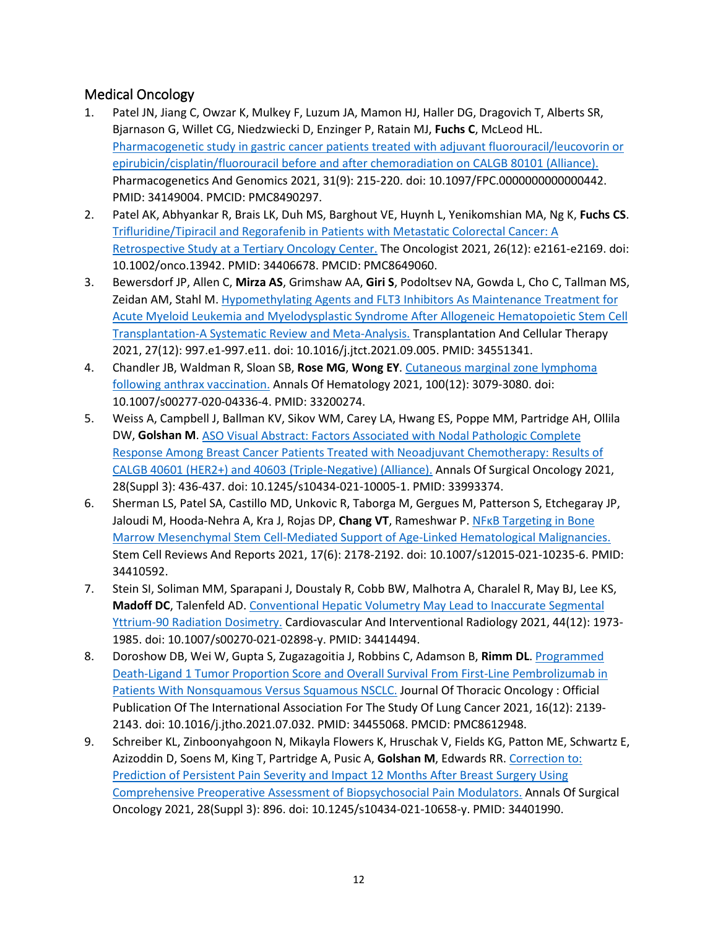## Medical Oncology

- 1. Patel JN, Jiang C, Owzar K, Mulkey F, Luzum JA, Mamon HJ, Haller DG, Dragovich T, Alberts SR, Bjarnason G, Willet CG, Niedzwiecki D, Enzinger P, Ratain MJ, **Fuchs C**, McLeod HL. Pharmacogenetic study in gastric cancer [patients treated with adjuvant fluorouracil/leucovorin or](https://www.ncbi.nlm.nih.gov/pubmed/34149004)  [epirubicin/cisplatin/fluorouracil before and after chemoradiation on CALGB 80101 \(Alliance\).](https://www.ncbi.nlm.nih.gov/pubmed/34149004) Pharmacogenetics And Genomics 2021, 31(9): 215-220. doi: 10.1097/FPC.0000000000000442. PMID: 34149004. PMCID: PMC8490297.
- 2. Patel AK, Abhyankar R, Brais LK, Duh MS, Barghout VE, Huynh L, Yenikomshian MA, Ng K, **Fuchs CS**. [Trifluridine/Tipiracil and Regorafenib in Patients with Metastatic Colorectal Can](https://www.ncbi.nlm.nih.gov/pubmed/34406678)cer: A [Retrospective Study at a Tertiary Oncology Center.](https://www.ncbi.nlm.nih.gov/pubmed/34406678) The Oncologist 2021, 26(12): e2161-e2169. doi: 10.1002/onco.13942. PMID: 34406678. PMCID: PMC8649060.
- 3. Bewersdorf JP, Allen C, **Mirza AS**, Grimshaw AA, **Giri S**, Podoltsev NA, Gowda L, Cho C, Tallman MS, Zeidan AM, Stahl M. [Hypomethylating Agents and FLT3 Inhibitors As Maintenance Treatment for](https://www.ncbi.nlm.nih.gov/pubmed/34551341)  [Acute Myeloid Leukemia and Myelodysplastic Syndrome After Allogeneic Hematopoietic Stem Cell](https://www.ncbi.nlm.nih.gov/pubmed/34551341)  Transplantation-[A Systematic Review and Meta](https://www.ncbi.nlm.nih.gov/pubmed/34551341)-Analysis. Transplantation And Cellular Therapy 2021, 27(12): 997.e1-997.e11. doi: 10.1016/j.jtct.2021.09.005. PMID: 34551341.
- 4. Chandler JB, Waldman R, Sloan SB, **Rose MG**, **Wong EY**. [Cutaneous marginal zone lymphoma](https://www.ncbi.nlm.nih.gov/pubmed/33200274)  [following anthrax vaccination.](https://www.ncbi.nlm.nih.gov/pubmed/33200274) Annals Of Hematology 2021, 100(12): 3079-3080. doi: 10.1007/s00277-020-04336-4. PMID: 33200274.
- 5. Weiss A, Campbell J, Ballman KV, Sikov WM, Carey LA, Hwang ES, Poppe MM, Partridge AH, Ollila DW, **Golshan M**. [ASO Visual Abstract: Factors Associated with Nodal Pathologic Complete](https://www.ncbi.nlm.nih.gov/pubmed/33993374)  [Response Among Breast Cancer Patients Treated with Neoadjuvant Chemotherapy: Results of](https://www.ncbi.nlm.nih.gov/pubmed/33993374)  [CALGB 40601 \(HER2+\) and 40603 \(Triple](https://www.ncbi.nlm.nih.gov/pubmed/33993374)-Negative) (Alliance). Annals Of Surgical Oncology 2021, 28(Suppl 3): 436-437. doi: 10.1245/s10434-021-10005-1. PMID: 33993374.
- 6. Sherman LS, Patel SA, Castillo MD, Unkovic R, Taborga M, Gergues M, Patterson S, Etchegaray JP, Jaloudi M, Hooda-Nehra A, Kra J, Rojas DP, **Chang VT**, Rameshwar P. [NFĸB Targeting in Bone](https://www.ncbi.nlm.nih.gov/pubmed/34410592)  [Marrow Mesenchymal Stem Cell-Mediated Support of Age-](https://www.ncbi.nlm.nih.gov/pubmed/34410592)Linked Hematological Malignancies. Stem Cell Reviews And Reports 2021, 17(6): 2178-2192. doi: 10.1007/s12015-021-10235-6. PMID: 34410592.
- 7. Stein SI, Soliman MM, Sparapani J, Doustaly R, Cobb BW, Malhotra A, Charalel R, May BJ, Lee KS, **Madoff DC**, Talenfeld AD. [Conventional Hepatic Volumetry May Lead to Inaccurate Segmental](https://www.ncbi.nlm.nih.gov/pubmed/34414494)  Yttrium-[90 Radiation Dosimetry.](https://www.ncbi.nlm.nih.gov/pubmed/34414494) Cardiovascular And Interventional Radiology 2021, 44(12): 1973- 1985. doi: 10.1007/s00270-021-02898-y. PMID: 34414494.
- 8. Doroshow DB, Wei W, Gupta S, Zugazagoitia J, Robbins C, Adamson B, **Rimm DL**[. Programmed](https://www.ncbi.nlm.nih.gov/pubmed/34455068)  Death-[Ligand 1 Tumor Proportion Score and Overall Survival From First](https://www.ncbi.nlm.nih.gov/pubmed/34455068)-Line Pembrolizumab in [Patients With Nonsquamous Versus Squamous NSCLC.](https://www.ncbi.nlm.nih.gov/pubmed/34455068) Journal Of Thoracic Oncology : Official Publication Of The International Association For The Study Of Lung Cancer 2021, 16(12): 2139- 2143. doi: 10.1016/j.jtho.2021.07.032. PMID: 34455068. PMCID: PMC8612948.
- 9. Schreiber KL, Zinboonyahgoon N, Mikayla Flowers K, Hruschak V, Fields KG, Patton ME, Schwartz E, Azizoddin D, Soens M, King T, Partridge A, Pusic A, **Golshan M**, Edwards RR. [Correction to:](https://www.ncbi.nlm.nih.gov/pubmed/34401990)  [Prediction of Persistent Pain Severity and Impact 12 Months After Breast Surgery Using](https://www.ncbi.nlm.nih.gov/pubmed/34401990)  [Comprehensive Preoperative Assessment of Biopsychosocial Pain Modulators.](https://www.ncbi.nlm.nih.gov/pubmed/34401990) Annals Of Surgical Oncology 2021, 28(Suppl 3): 896. doi: 10.1245/s10434-021-10658-y. PMID: 34401990.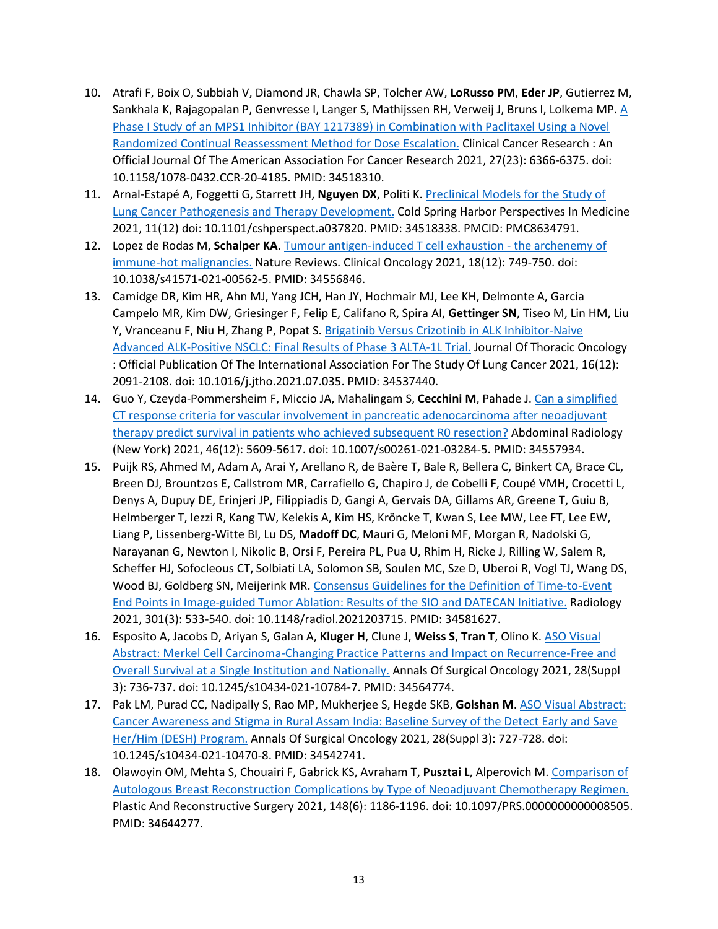- 10. Atrafi F, Boix O, Subbiah V, Diamond JR, Chawla SP, Tolcher AW, **LoRusso PM**, **Eder JP**, Gutierrez M, Sankhala K, Rajagopalan P, Genvresse I, Langer S, Mathijssen RH, Verweij J, Bruns I, Lolkema MP. [A](https://www.ncbi.nlm.nih.gov/pubmed/34518310)  Phase I Study of an MPS1 [Inhibitor \(BAY 1217389\) in Combination with Paclitaxel Using a Novel](https://www.ncbi.nlm.nih.gov/pubmed/34518310)  [Randomized Continual Reassessment Method for Dose Escalation.](https://www.ncbi.nlm.nih.gov/pubmed/34518310) Clinical Cancer Research : An Official Journal Of The American Association For Cancer Research 2021, 27(23): 6366-6375. doi: 10.1158/1078-0432.CCR-20-4185. PMID: 34518310.
- 11. Arnal-Estapé A, Foggetti G, Starrett JH, **Nguyen DX**, Politi K. [Preclinical Models for the Study of](https://www.ncbi.nlm.nih.gov/pubmed/34518338)  [Lung Cancer Pathogenesis and Therapy Development.](https://www.ncbi.nlm.nih.gov/pubmed/34518338) Cold Spring Harbor Perspectives In Medicine 2021, 11(12) doi: 10.1101/cshperspect.a037820. PMID: 34518338. PMCID: PMC8634791.
- 12. Lopez de Rodas M, **Schalper KA**. [Tumour antigen-induced T cell exhaustion -](https://www.ncbi.nlm.nih.gov/pubmed/34556846) the archenemy of [immune-hot malignancies.](https://www.ncbi.nlm.nih.gov/pubmed/34556846) Nature Reviews. Clinical Oncology 2021, 18(12): 749-750. doi: 10.1038/s41571-021-00562-5. PMID: 34556846.
- 13. Camidge DR, Kim HR, Ahn MJ, Yang JCH, Han JY, Hochmair MJ, Lee KH, Delmonte A, Garcia Campelo MR, Kim DW, Griesinger F, Felip E, Califano R, Spira AI, **Gettinger SN**, Tiseo M, Lin HM, Liu Y, Vranceanu F, Niu H, Zhang P, Popat S. [Brigatinib Versus Crizotinib in ALK Inhibitor](https://www.ncbi.nlm.nih.gov/pubmed/34537440)-Naive Advanced ALK-Posit[ive NSCLC: Final Results of Phase 3 ALTA](https://www.ncbi.nlm.nih.gov/pubmed/34537440)-1L Trial. Journal Of Thoracic Oncology : Official Publication Of The International Association For The Study Of Lung Cancer 2021, 16(12): 2091-2108. doi: 10.1016/j.jtho.2021.07.035. PMID: 34537440.
- 14. Guo Y, Czeyda-Pommersheim F, Miccio JA, Mahalingam S, **Cecchini M**, Pahade J. [Can a simplified](https://www.ncbi.nlm.nih.gov/pubmed/34557934)  [CT response criteria for vascular involvement in pancreatic adenocarcinoma after neoadjuvant](https://www.ncbi.nlm.nih.gov/pubmed/34557934)  therapy predict survival i[n patients who achieved subsequent R0 resection?](https://www.ncbi.nlm.nih.gov/pubmed/34557934) Abdominal Radiology (New York) 2021, 46(12): 5609-5617. doi: 10.1007/s00261-021-03284-5. PMID: 34557934.
- 15. Puijk RS, Ahmed M, Adam A, Arai Y, Arellano R, de Baère T, Bale R, Bellera C, Binkert CA, Brace CL, Breen DJ, Brountzos E, Callstrom MR, Carrafiello G, Chapiro J, de Cobelli F, Coupé VMH, Crocetti L, Denys A, Dupuy DE, Erinjeri JP, Filippiadis D, Gangi A, Gervais DA, Gillams AR, Greene T, Guiu B, Helmberger T, Iezzi R, Kang TW, Kelekis A, Kim HS, Kröncke T, Kwan S, Lee MW, Lee FT, Lee EW, Liang P, Lissenberg-Witte BI, Lu DS, **Madoff DC**, Mauri G, Meloni MF, Morgan R, Nadolski G, Narayanan G, Newton I, Nikolic B, Orsi F, Pereira PL, Pua U, Rhim H, Ricke J, Rilling W, Salem R, Scheffer HJ, Sofocleous CT, Solbiati LA, Solomon SB, Soulen MC, Sze D, Uberoi R, Vogl TJ, Wang DS, Wood BJ, Goldberg SN, Meijerink MR. [Consensus Guidelines for the Definition of Time-to-Event](https://www.ncbi.nlm.nih.gov/pubmed/34581627)  End Points in Image-guided Tumor Abla[tion: Results of the SIO and DATECAN Initiative.](https://www.ncbi.nlm.nih.gov/pubmed/34581627) Radiology 2021, 301(3): 533-540. doi: 10.1148/radiol.2021203715. PMID: 34581627.
- 16. Esposito A, Jacobs D, Ariyan S, Galan A, **Kluger H**, Clune J, **Weiss S**, **Tran T**, Olino K[. ASO Visual](https://www.ncbi.nlm.nih.gov/pubmed/34564774)  Abstract: Merkel Cell Carcinoma-[Changing Practice Patterns and Impact on Recurrence](https://www.ncbi.nlm.nih.gov/pubmed/34564774)-Free and [Overall Survival at a Single Institution and Nationally.](https://www.ncbi.nlm.nih.gov/pubmed/34564774) Annals Of Surgical Oncology 2021, 28(Suppl 3): 736-737. doi: 10.1245/s10434-021-10784-7. PMID: 34564774.
- 17. Pak LM, Purad CC, Nadipally S, Rao MP, Mukherjee S, Hegde SKB, **Golshan M**. [ASO Visual Abstract:](https://www.ncbi.nlm.nih.gov/pubmed/34542741)  [Cancer Awareness and Stigma in Rural Assam India: Baseline](https://www.ncbi.nlm.nih.gov/pubmed/34542741) Survey of the Detect Early and Save [Her/Him \(DESH\) Program.](https://www.ncbi.nlm.nih.gov/pubmed/34542741) Annals Of Surgical Oncology 2021, 28(Suppl 3): 727-728. doi: 10.1245/s10434-021-10470-8. PMID: 34542741.
- 18. Olawoyin OM, Mehta S, Chouairi F, Gabrick KS, Avraham T, **Pusztai L**, Alperovich M[. Comparison of](https://www.ncbi.nlm.nih.gov/pubmed/34644277)  [Autologous Breast Reconstruction Complications by Type of Neoadjuvant Chemotherapy Regimen.](https://www.ncbi.nlm.nih.gov/pubmed/34644277) Plastic And Reconstructive Surgery 2021, 148(6): 1186-1196. doi: 10.1097/PRS.0000000000008505. PMID: 34644277.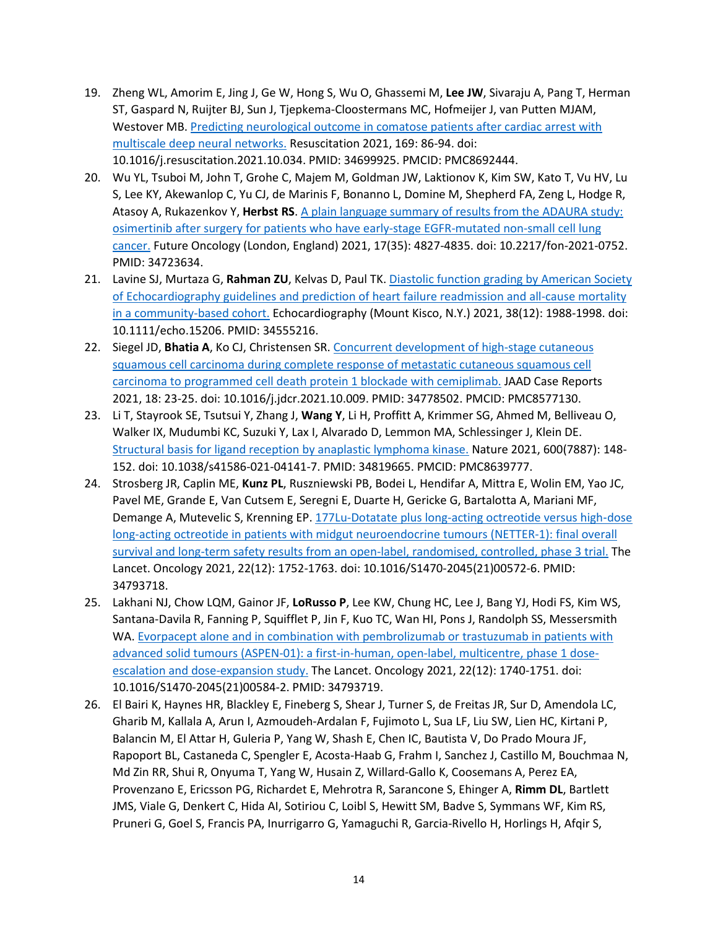- 19. Zheng WL, Amorim E, Jing J, Ge W, Hong S, Wu O, Ghassemi M, **Lee JW**, Sivaraju A, Pang T, Herman ST, Gaspard N, Ruijter BJ, Sun J, Tjepkema-Cloostermans MC, Hofmeijer J, van Putten MJAM, Westover MB. [Predicting neurological outcome in comatose patients after cardiac arrest with](https://www.ncbi.nlm.nih.gov/pubmed/34699925)  [multiscale deep neural networks.](https://www.ncbi.nlm.nih.gov/pubmed/34699925) Resuscitation 2021, 169: 86-94. doi: 10.1016/j.resuscitation.2021.10.034. PMID: 34699925. PMCID: PMC8692444.
- 20. Wu YL, Tsuboi M, John T, Grohe C, Majem M, Goldman JW, Laktionov K, Kim SW, Kato T, Vu HV, Lu S, Lee KY, Akewanlop C, Yu CJ, de Marinis F, Bonanno L, Domine M, Shepherd FA, Zeng L, Hodge R, Atasoy A, Rukazenkov Y, **Herbst RS**. [A plain language summary of results from the ADAURA study:](https://www.ncbi.nlm.nih.gov/pubmed/34723634)  [osimertinib after surgery for patients who have early-](https://www.ncbi.nlm.nih.gov/pubmed/34723634)stage EGFR-mutated non-small cell lung [cancer.](https://www.ncbi.nlm.nih.gov/pubmed/34723634) Future Oncology (London, England) 2021, 17(35): 4827-4835. doi: 10.2217/fon-2021-0752. PMID: 34723634.
- 21. Lavine SJ, Murtaza G, **Rahman ZU**, Kelvas D, Paul TK. [Diastolic function grading by American Society](https://www.ncbi.nlm.nih.gov/pubmed/34555216)  [of Echocardiography guidelines and prediction of heart failure readmission and](https://www.ncbi.nlm.nih.gov/pubmed/34555216) all-cause mortality [in a community-based cohort.](https://www.ncbi.nlm.nih.gov/pubmed/34555216) Echocardiography (Mount Kisco, N.Y.) 2021, 38(12): 1988-1998. doi: 10.1111/echo.15206. PMID: 34555216.
- 22. Siegel JD, **Bhatia A**, Ko CJ, Christensen SR. [Concurrent development of high-stage cutaneous](https://www.ncbi.nlm.nih.gov/pubmed/34778502)  [squamous cell carcinoma during complete response of metastatic cutaneous squamous cell](https://www.ncbi.nlm.nih.gov/pubmed/34778502)  [carcinoma to programmed cell death protein 1 blockade with cemiplimab.](https://www.ncbi.nlm.nih.gov/pubmed/34778502) JAAD Case Reports 2021, 18: 23-25. doi: 10.1016/j.jdcr.2021.10.009. PMID: 34778502. PMCID: PMC8577130.
- 23. Li T, Stayrook SE, Tsutsui Y, Zhang J, **Wang Y**, Li H, Proffitt A, Krimmer SG, Ahmed M, Belliveau O, Walker IX, Mudumbi KC, Suzuki Y, Lax I, Alvarado D, Lemmon MA, Schlessinger J, Klein DE. [Structural basis for ligand reception by anaplastic lymphoma kinase.](https://www.ncbi.nlm.nih.gov/pubmed/34819665) Nature 2021, 600(7887): 148- 152. doi: 10.1038/s41586-021-04141-7. PMID: 34819665. PMCID: PMC8639777.
- 24. Strosberg JR, Caplin ME, **Kunz PL**, Ruszniewski PB, Bodei L, Hendifar A, Mittra E, Wolin EM, Yao JC, Pavel ME, Grande E, Van Cutsem E, Seregni E, Duarte H, Gericke G, Bartalotta A, Mariani MF, Demange A, Mutevelic S, Krenning EP. 177Lu[-Dotatate plus long-acting octreotide versus high](https://www.ncbi.nlm.nih.gov/pubmed/34793718)-dose long-[acting octreotide in patients with midgut neuroendocrine tumours \(NETTER](https://www.ncbi.nlm.nih.gov/pubmed/34793718)-1): final overall [survival and long-term safety results from an open-label, randomised, controlled, phase 3 trial.](https://www.ncbi.nlm.nih.gov/pubmed/34793718) The Lancet. Oncology 2021, 22(12): 1752-1763. doi: 10.1016/S1470-2045(21)00572-6. PMID: 34793718.
- 25. Lakhani NJ, Chow LQM, Gainor JF, **LoRusso P**, Lee KW, Chung HC, Lee J, Bang YJ, Hodi FS, Kim WS, Santana-Davila R, Fanning P, Squifflet P, Jin F, Kuo TC, Wan HI, Pons J, Randolph SS, Messersmith WA. Evorpacept alone and in combination with pembrolizumab or trastuzumab in patients with [advanced solid tumours \(ASPEN-01\): a first-in-human, open-label, multicentre, phase 1 dose](https://www.ncbi.nlm.nih.gov/pubmed/34793719)[escalation and dose-expansion study.](https://www.ncbi.nlm.nih.gov/pubmed/34793719) The Lancet. Oncology 2021, 22(12): 1740-1751. doi: 10.1016/S1470-2045(21)00584-2. PMID: 34793719.
- 26. El Bairi K, Haynes HR, Blackley E, Fineberg S, Shear J, Turner S, de Freitas JR, Sur D, Amendola LC, Gharib M, Kallala A, Arun I, Azmoudeh-Ardalan F, Fujimoto L, Sua LF, Liu SW, Lien HC, Kirtani P, Balancin M, El Attar H, Guleria P, Yang W, Shash E, Chen IC, Bautista V, Do Prado Moura JF, Rapoport BL, Castaneda C, Spengler E, Acosta-Haab G, Frahm I, Sanchez J, Castillo M, Bouchmaa N, Md Zin RR, Shui R, Onyuma T, Yang W, Husain Z, Willard-Gallo K, Coosemans A, Perez EA, Provenzano E, Ericsson PG, Richardet E, Mehrotra R, Sarancone S, Ehinger A, **Rimm DL**, Bartlett JMS, Viale G, Denkert C, Hida AI, Sotiriou C, Loibl S, Hewitt SM, Badve S, Symmans WF, Kim RS, Pruneri G, Goel S, Francis PA, Inurrigarro G, Yamaguchi R, Garcia-Rivello H, Horlings H, Afqir S,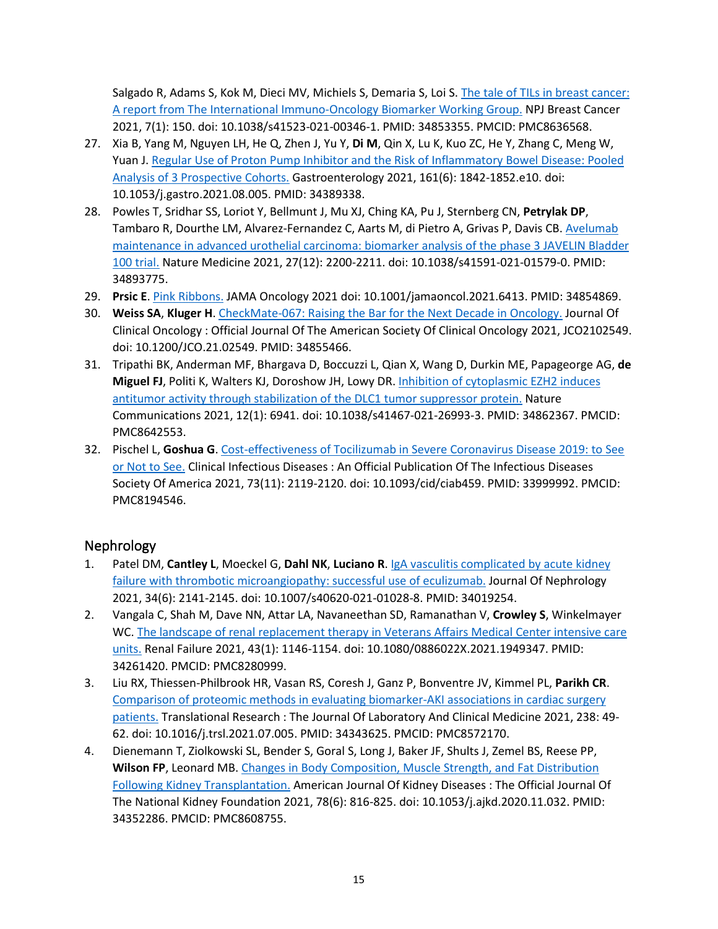Salgado R, Adams S, Kok M, Dieci MV, Michiels S, Demaria S, Loi S. [The tale of TILs in breast cancer:](https://www.ncbi.nlm.nih.gov/pubmed/34853355)  [A report from The International Immuno-](https://www.ncbi.nlm.nih.gov/pubmed/34853355)Oncology Biomarker Working Group. NPJ Breast Cancer 2021, 7(1): 150. doi: 10.1038/s41523-021-00346-1. PMID: 34853355. PMCID: PMC8636568.

- 27. Xia B, Yang M, Nguyen LH, He Q, Zhen J, Yu Y, **Di M**, Qin X, Lu K, Kuo ZC, He Y, Zhang C, Meng W, Yuan J. [Regular Use of Proton Pump Inhibitor and the Risk of Inflammatory Bowel Disease: Pooled](https://www.ncbi.nlm.nih.gov/pubmed/34389338)  [Analysis of 3 Prospective Cohorts.](https://www.ncbi.nlm.nih.gov/pubmed/34389338) Gastroenterology 2021, 161(6): 1842-1852.e10. doi: 10.1053/j.gastro.2021.08.005. PMID: 34389338.
- 28. Powles T, Sridhar SS, Loriot Y, Bellmunt J, Mu XJ, Ching KA, Pu J, Sternberg CN, **Petrylak DP**, Tambaro R, Dourthe LM, Alvarez-Fernandez C, Aarts M, di Pietro A, Grivas P, Davis CB. [Avelumab](https://www.ncbi.nlm.nih.gov/pubmed/34893775)  [maintenance in advanced urothelial carcinoma: biomarker analysis of the phase 3 JAVELIN Bladder](https://www.ncbi.nlm.nih.gov/pubmed/34893775)  [100 trial.](https://www.ncbi.nlm.nih.gov/pubmed/34893775) Nature Medicine 2021, 27(12): 2200-2211. doi: 10.1038/s41591-021-01579-0. PMID: 34893775.
- 29. **Prsic E**. [Pink Ribbons.](https://www.ncbi.nlm.nih.gov/pubmed/34854869) JAMA Oncology 2021 doi: 10.1001/jamaoncol.2021.6413. PMID: 34854869.
- 30. **Weiss SA**, **Kluger H**. CheckMate-[067: Raising the Bar for the Next Decade in Oncology.](https://www.ncbi.nlm.nih.gov/pubmed/34855466) Journal Of Clinical Oncology : Official Journal Of The American Society Of Clinical Oncology 2021, JCO2102549. doi: 10.1200/JCO.21.02549. PMID: 34855466.
- 31. Tripathi BK, Anderman MF, Bhargava D, Boccuzzi L, Qian X, Wang D, Durkin ME, Papageorge AG, **de Miguel FJ**, Politi K, Walters KJ, Doroshow JH, Lowy DR. Inhibition of [cytoplasmic EZH2 induces](https://www.ncbi.nlm.nih.gov/pubmed/34862367)  [antitumor activity through stabilization of the DLC1 tumor suppressor protein.](https://www.ncbi.nlm.nih.gov/pubmed/34862367) Nature Communications 2021, 12(1): 6941. doi: 10.1038/s41467-021-26993-3. PMID: 34862367. PMCID: PMC8642553.
- 32. Pischel L, **Goshua G**[. Cost-effectiveness of Tocilizumab in Severe Coronavirus Disease 2019: to See](https://www.ncbi.nlm.nih.gov/pubmed/33999992)  [or Not to See.](https://www.ncbi.nlm.nih.gov/pubmed/33999992) Clinical Infectious Diseases : An Official Publication Of The Infectious Diseases Society Of America 2021, 73(11): 2119-2120. doi: 10.1093/cid/ciab459. PMID: 33999992. PMCID: PMC8194546.

## Nephrology

- 1. Patel DM, **Cantley L**, Moeckel G, **Dahl NK**, **Luciano R**. [IgA vasculitis complicated by acute kidney](https://www.ncbi.nlm.nih.gov/pubmed/34019254)  [failure with thrombotic microangiopathy: successful use of eculizumab.](https://www.ncbi.nlm.nih.gov/pubmed/34019254) Journal Of Nephrology 2021, 34(6): 2141-2145. doi: 10.1007/s40620-021-01028-8. PMID: 34019254.
- 2. Vangala C, Shah M, Dave NN, Attar LA, Navaneethan SD, Ramanathan V, **Crowley S**, Winkelmayer WC. The landscape of renal replacement therapy in Veterans Affairs Medical Center intensive care [units.](https://www.ncbi.nlm.nih.gov/pubmed/34261420) Renal Failure 2021, 43(1): 1146-1154. doi: 10.1080/0886022X.2021.1949347. PMID: 34261420. PMCID: PMC8280999.
- 3. Liu RX, Thiessen-Philbrook HR, Vasan RS, Coresh J, Ganz P, Bonventre JV, Kimmel PL, **Parikh CR**. [Comparison of proteomic methods in evaluating biomarker-AKI associations in cardiac surgery](https://www.ncbi.nlm.nih.gov/pubmed/34343625)  [patients.](https://www.ncbi.nlm.nih.gov/pubmed/34343625) Translational Research : The Journal Of Laboratory And Clinical Medicine 2021, 238: 49- 62. doi: 10.1016/j.trsl.2021.07.005. PMID: 34343625. PMCID: PMC8572170.
- 4. Dienemann T, Ziolkowski SL, Bender S, Goral S, Long J, Baker JF, Shults J, Zemel BS, Reese PP, **Wilson FP**, Leonard MB. [Changes in Body Composition, Muscle Strength, and Fat Distribution](https://www.ncbi.nlm.nih.gov/pubmed/34352286)  Fol[lowing Kidney Transplantation.](https://www.ncbi.nlm.nih.gov/pubmed/34352286) American Journal Of Kidney Diseases : The Official Journal Of The National Kidney Foundation 2021, 78(6): 816-825. doi: 10.1053/j.ajkd.2020.11.032. PMID: 34352286. PMCID: PMC8608755.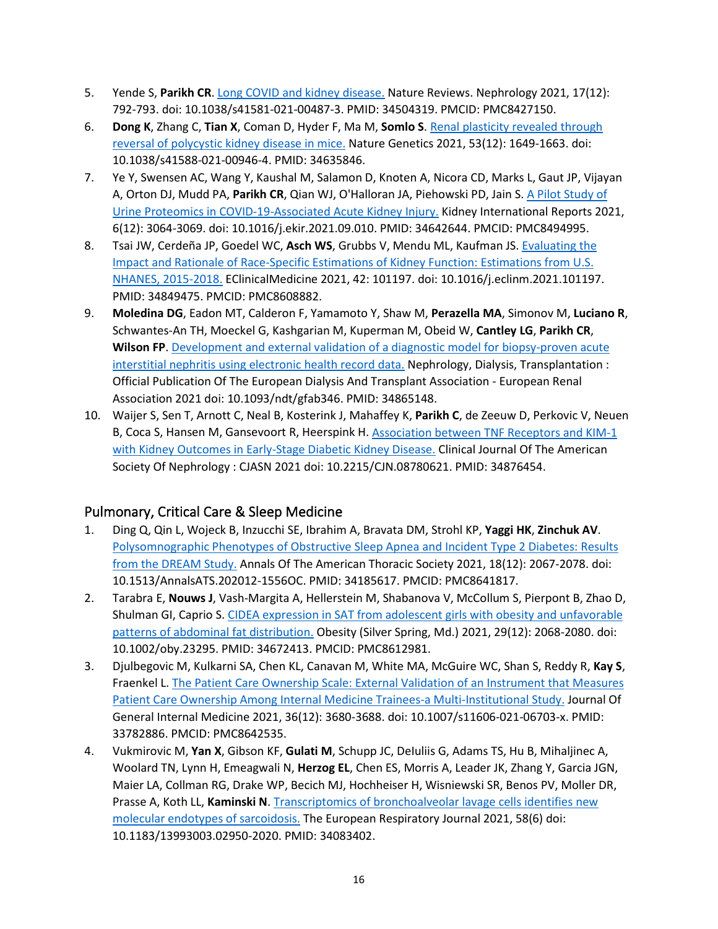- 5. Yende S, **Parikh CR**. [Long COVID and kidney disease.](https://www.ncbi.nlm.nih.gov/pubmed/34504319) Nature Reviews. Nephrology 2021, 17(12): 792-793. doi: 10.1038/s41581-021-00487-3. PMID: 34504319. PMCID: PMC8427150.
- 6. **Dong K**, Zhang C, **Tian X**, Coman D, Hyder F, Ma M, **Somlo S**. [Renal plasticity revealed through](https://www.ncbi.nlm.nih.gov/pubmed/34635846)  [reversal of polycystic kidney disease in mice.](https://www.ncbi.nlm.nih.gov/pubmed/34635846) Nature Genetics 2021, 53(12): 1649-1663. doi: 10.1038/s41588-021-00946-4. PMID: 34635846.
- 7. Ye Y, Swensen AC, Wang Y, Kaushal M, Salamon D, Knoten A, Nicora CD, Marks L, Gaut JP, Vijayan A, Orton DJ, Mudd PA, **Parikh CR**, Qian WJ, O'Halloran JA, Piehowski PD, Jain S. [A Pilot Study of](https://www.ncbi.nlm.nih.gov/pubmed/34642644)  [Urine Proteomics in COVID-19-A](https://www.ncbi.nlm.nih.gov/pubmed/34642644)ssociated Acute Kidney Injury. Kidney International Reports 2021, 6(12): 3064-3069. doi: 10.1016/j.ekir.2021.09.010. PMID: 34642644. PMCID: PMC8494995.
- 8. Tsai JW, Cerdeña JP, Goedel WC, **Asch WS**, Grubbs V, Mendu ML, Kaufman JS. [Evaluating the](https://www.ncbi.nlm.nih.gov/pubmed/34849475)  Impact and Rationale of Race-[Specific Estimations of Kidney Function: Estimations from U.S.](https://www.ncbi.nlm.nih.gov/pubmed/34849475)  [NHANES, 2015-2018.](https://www.ncbi.nlm.nih.gov/pubmed/34849475) EClinicalMedicine 2021, 42: 101197. doi: 10.1016/j.eclinm.2021.101197. PMID: 34849475. PMCID: PMC8608882.
- 9. **Moledina DG**, Eadon MT, Calderon F, Yamamoto Y, Shaw M, **Perazella MA**, Simonov M, **Luciano R**, Schwantes-An TH, Moeckel G, Kashgarian M, Kuperman M, Obeid W, **Cantley LG**, **Parikh CR**, **Wilson FP**. [Development and external validation of a diagnostic model for biopsy-proven acute](https://www.ncbi.nlm.nih.gov/pubmed/34865148)  [interstitial nephritis using electronic health record data.](https://www.ncbi.nlm.nih.gov/pubmed/34865148) Nephrology, Dialysis, Transplantation : Official Publication Of The European Dialysis And Transplant Association - European Renal Association 2021 doi: 10.1093/ndt/gfab346. PMID: 34865148.
- 10. Waijer S, Sen T, Arnott C, Neal B, Kosterink J, Mahaffey K, **Parikh C**, de Zeeuw D, Perkovic V, Neuen B, Coca S, Hansen M, Gansevoort R, Heerspink H. [Association between TNF Receptors and KIM](https://www.ncbi.nlm.nih.gov/pubmed/34876454)-1 [with Kidney Outcomes in Early-Stage Diabetic Kidney Disease.](https://www.ncbi.nlm.nih.gov/pubmed/34876454) Clinical Journal Of The American Society Of Nephrology : CJASN 2021 doi: 10.2215/CJN.08780621. PMID: 34876454.

## Pulmonary, Critical Care & Sleep Medicine

- 1. Ding Q, Qin L, Wojeck B, Inzucchi SE, Ibrahim A, Bravata DM, Strohl KP, **Yaggi HK**, **Zinchuk AV**. [Polysomnographic Phenotypes of Obstructive Sleep Apnea and Incident Typ](https://www.ncbi.nlm.nih.gov/pubmed/34185617)e 2 Diabetes: Results [from the DREAM Study.](https://www.ncbi.nlm.nih.gov/pubmed/34185617) Annals Of The American Thoracic Society 2021, 18(12): 2067-2078. doi: 10.1513/AnnalsATS.202012-1556OC. PMID: 34185617. PMCID: PMC8641817.
- 2. Tarabra E, **Nouws J**, Vash-Margita A, Hellerstein M, Shabanova V, McCollum S, Pierpont B, Zhao D, Shulman GI, Caprio S. [CIDEA expression in SAT from adolescent girls with obesity and unfavorable](https://www.ncbi.nlm.nih.gov/pubmed/34672413)  [patterns of abdominal fat distribution.](https://www.ncbi.nlm.nih.gov/pubmed/34672413) Obesity (Silver Spring, Md.) 2021, 29(12): 2068-2080. doi: 10.1002/oby.23295. PMID: 34672413. PMCID: PMC8612981.
- 3. Djulbegovic M, Kulkarni SA, Chen KL, Canavan M, White MA, McGuire WC, Shan S, Reddy R, **Kay S**, Fraenkel L. [The Patient Care Ownership Scale: External Validation of an Instrument that Measures](https://www.ncbi.nlm.nih.gov/pubmed/33782886)  [Patient Care Ownership Among Internal Medicine Trainees-a Multi-Institutional Study.](https://www.ncbi.nlm.nih.gov/pubmed/33782886) Journal Of General Internal Medicine 2021, 36(12): 3680-3688. doi: 10.1007/s11606-021-06703-x. PMID: 33782886. PMCID: PMC8642535.
- 4. Vukmirovic M, **Yan X**, Gibson KF, **Gulati M**, Schupp JC, DeIuliis G, Adams TS, Hu B, Mihaljinec A, Woolard TN, Lynn H, Emeagwali N, **Herzog EL**, Chen ES, Morris A, Leader JK, Zhang Y, Garcia JGN, Maier LA, Collman RG, Drake WP, Becich MJ, Hochheiser H, Wisniewski SR, Benos PV, Moller DR, Prasse A, Koth LL, **Kaminski N**. [Transcriptomics of bronchoalveolar lavage cells identifies new](https://www.ncbi.nlm.nih.gov/pubmed/34083402)  [molecular endotypes of sarcoidosis.](https://www.ncbi.nlm.nih.gov/pubmed/34083402) The European Respiratory Journal 2021, 58(6) doi: 10.1183/13993003.02950-2020. PMID: 34083402.